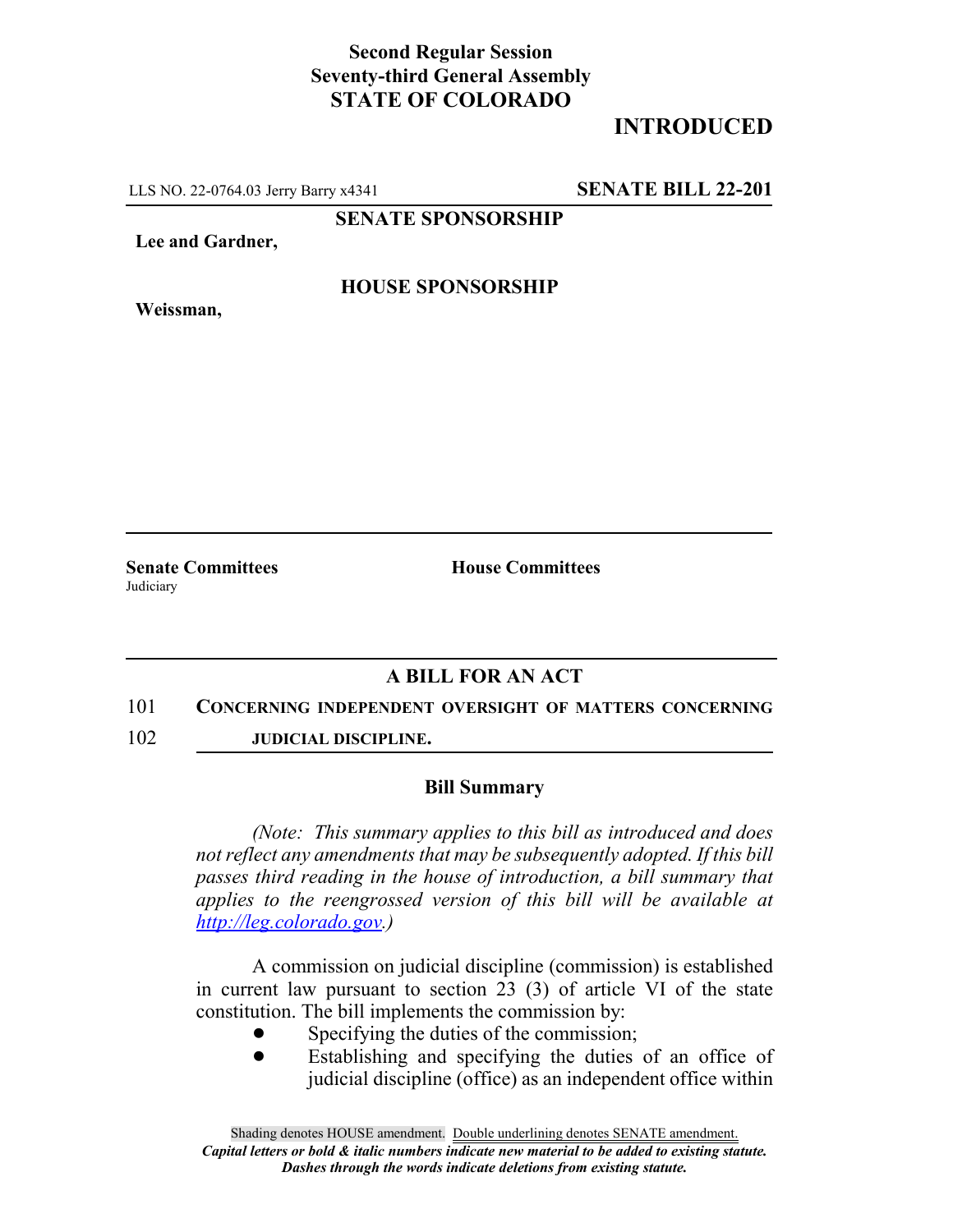## **Second Regular Session Seventy-third General Assembly STATE OF COLORADO**

# **INTRODUCED**

LLS NO. 22-0764.03 Jerry Barry x4341 **SENATE BILL 22-201**

**SENATE SPONSORSHIP**

**Lee and Gardner,**

**Weissman,**

### **HOUSE SPONSORSHIP**

**Senate Committees House Committees Judiciary** 

## **A BILL FOR AN ACT**

#### 101 **CONCERNING INDEPENDENT OVERSIGHT OF MATTERS CONCERNING**

102 **JUDICIAL DISCIPLINE.**

### **Bill Summary**

*(Note: This summary applies to this bill as introduced and does not reflect any amendments that may be subsequently adopted. If this bill passes third reading in the house of introduction, a bill summary that applies to the reengrossed version of this bill will be available at http://leg.colorado.gov.)*

A commission on judicial discipline (commission) is established in current law pursuant to section 23 (3) of article VI of the state constitution. The bill implements the commission by:

- Specifying the duties of the commission;
- Establishing and specifying the duties of an office of judicial discipline (office) as an independent office within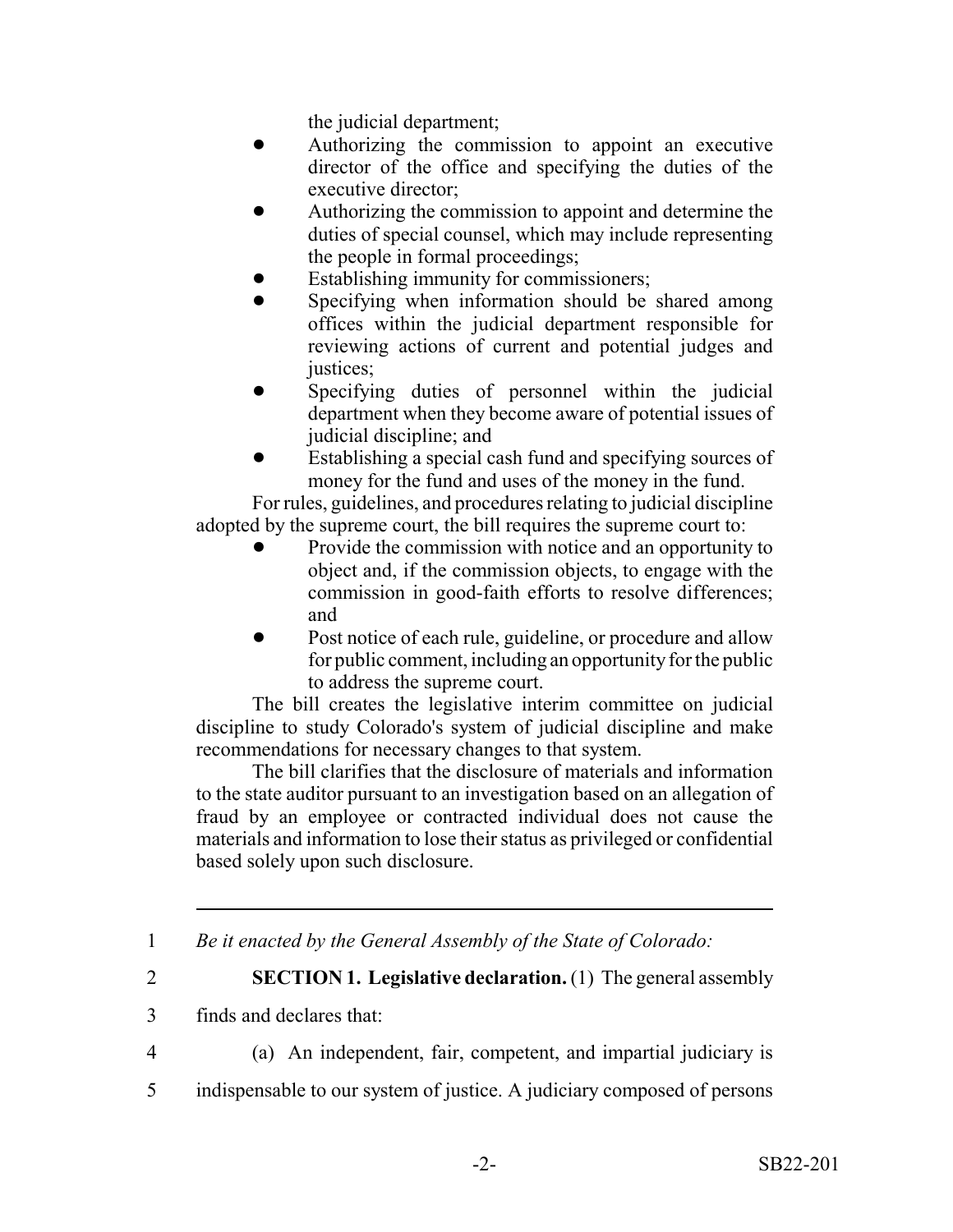the judicial department;

- Authorizing the commission to appoint an executive director of the office and specifying the duties of the executive director;
- ! Authorizing the commission to appoint and determine the duties of special counsel, which may include representing the people in formal proceedings;
- Establishing immunity for commissioners;
- Specifying when information should be shared among offices within the judicial department responsible for reviewing actions of current and potential judges and justices;
- Specifying duties of personnel within the judicial department when they become aware of potential issues of judicial discipline; and
- Establishing a special cash fund and specifying sources of money for the fund and uses of the money in the fund.

For rules, guidelines, and procedures relating to judicial discipline adopted by the supreme court, the bill requires the supreme court to:

- ! Provide the commission with notice and an opportunity to object and, if the commission objects, to engage with the commission in good-faith efforts to resolve differences; and
- Post notice of each rule, guideline, or procedure and allow for public comment, including an opportunity for the public to address the supreme court.

The bill creates the legislative interim committee on judicial discipline to study Colorado's system of judicial discipline and make recommendations for necessary changes to that system.

The bill clarifies that the disclosure of materials and information to the state auditor pursuant to an investigation based on an allegation of fraud by an employee or contracted individual does not cause the materials and information to lose their status as privileged or confidential based solely upon such disclosure.

1 *Be it enacted by the General Assembly of the State of Colorado:*

2 **SECTION 1. Legislative declaration.** (1) The general assembly

- 3 finds and declares that:
- 

4 (a) An independent, fair, competent, and impartial judiciary is

5 indispensable to our system of justice. A judiciary composed of persons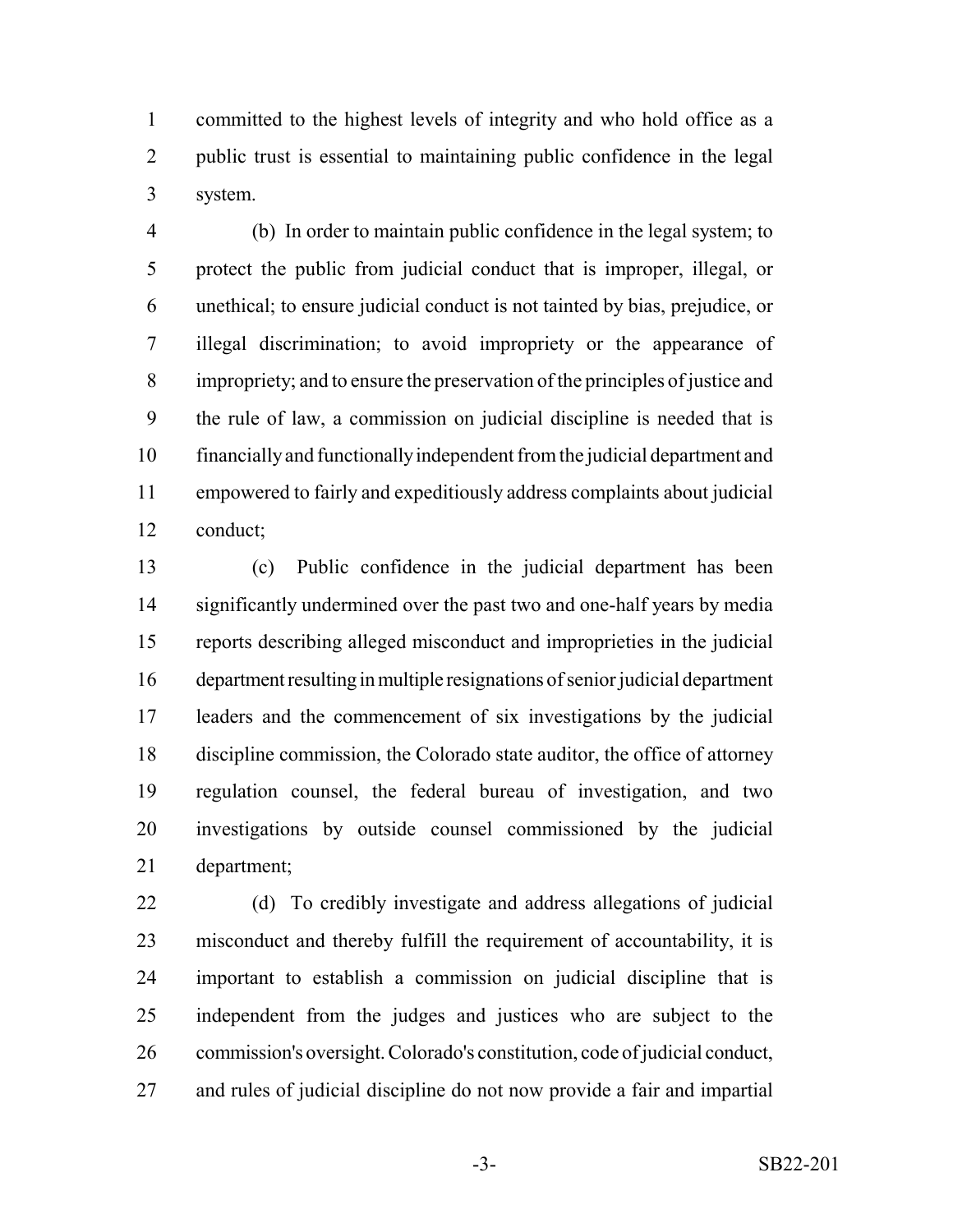committed to the highest levels of integrity and who hold office as a public trust is essential to maintaining public confidence in the legal system.

 (b) In order to maintain public confidence in the legal system; to protect the public from judicial conduct that is improper, illegal, or unethical; to ensure judicial conduct is not tainted by bias, prejudice, or illegal discrimination; to avoid impropriety or the appearance of impropriety; and to ensure the preservation of the principles of justice and the rule of law, a commission on judicial discipline is needed that is financially and functionally independent from the judicial department and empowered to fairly and expeditiously address complaints about judicial conduct;

 (c) Public confidence in the judicial department has been 14 significantly undermined over the past two and one-half years by media reports describing alleged misconduct and improprieties in the judicial department resulting in multiple resignations of senior judicial department leaders and the commencement of six investigations by the judicial discipline commission, the Colorado state auditor, the office of attorney regulation counsel, the federal bureau of investigation, and two investigations by outside counsel commissioned by the judicial department;

 (d) To credibly investigate and address allegations of judicial misconduct and thereby fulfill the requirement of accountability, it is important to establish a commission on judicial discipline that is independent from the judges and justices who are subject to the commission's oversight. Colorado's constitution, code of judicial conduct, and rules of judicial discipline do not now provide a fair and impartial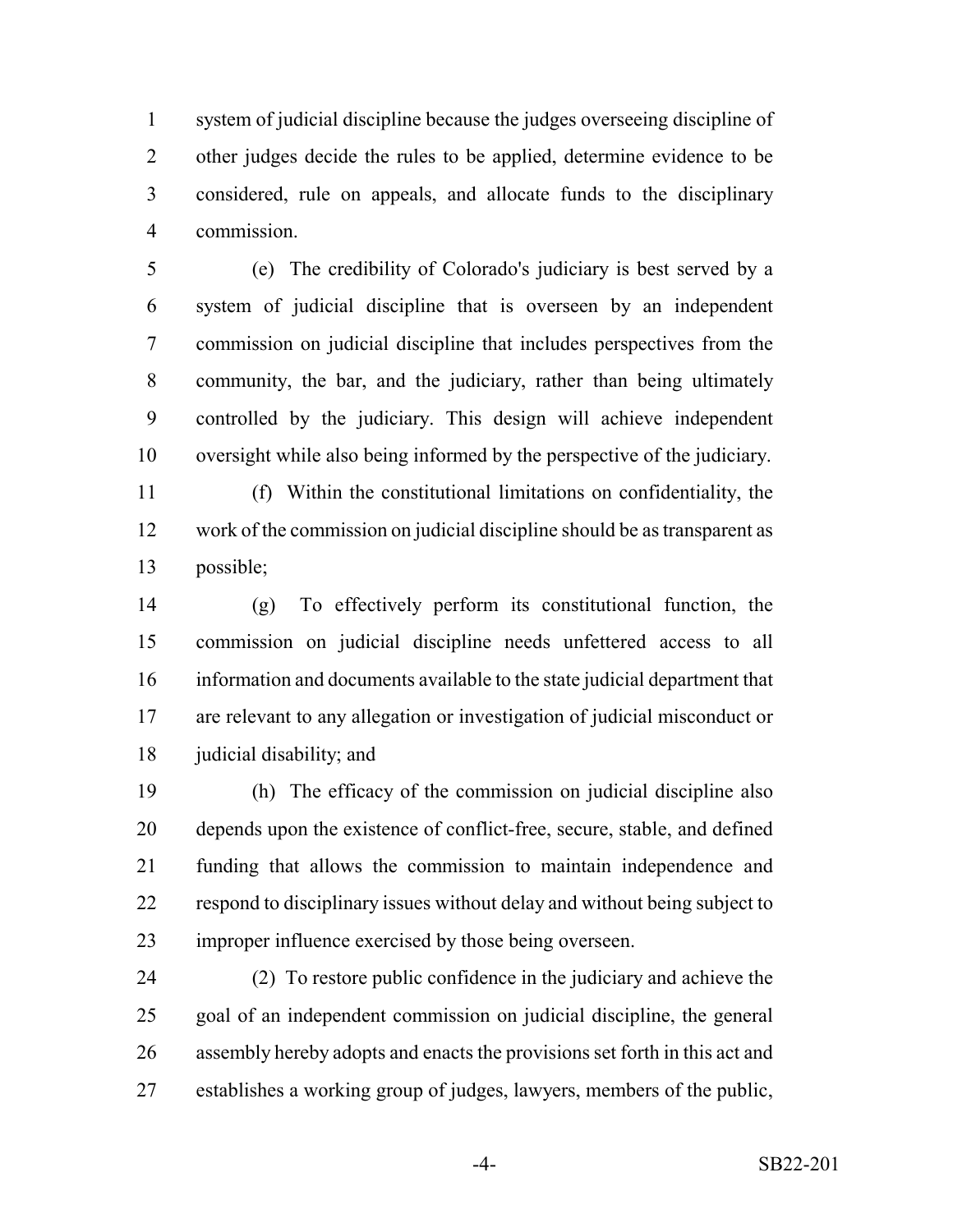system of judicial discipline because the judges overseeing discipline of other judges decide the rules to be applied, determine evidence to be considered, rule on appeals, and allocate funds to the disciplinary commission.

 (e) The credibility of Colorado's judiciary is best served by a system of judicial discipline that is overseen by an independent commission on judicial discipline that includes perspectives from the community, the bar, and the judiciary, rather than being ultimately controlled by the judiciary. This design will achieve independent oversight while also being informed by the perspective of the judiciary.

 (f) Within the constitutional limitations on confidentiality, the work of the commission on judicial discipline should be as transparent as possible;

 (g) To effectively perform its constitutional function, the commission on judicial discipline needs unfettered access to all information and documents available to the state judicial department that are relevant to any allegation or investigation of judicial misconduct or judicial disability; and

 (h) The efficacy of the commission on judicial discipline also depends upon the existence of conflict-free, secure, stable, and defined funding that allows the commission to maintain independence and respond to disciplinary issues without delay and without being subject to improper influence exercised by those being overseen.

 (2) To restore public confidence in the judiciary and achieve the goal of an independent commission on judicial discipline, the general assembly hereby adopts and enacts the provisions set forth in this act and establishes a working group of judges, lawyers, members of the public,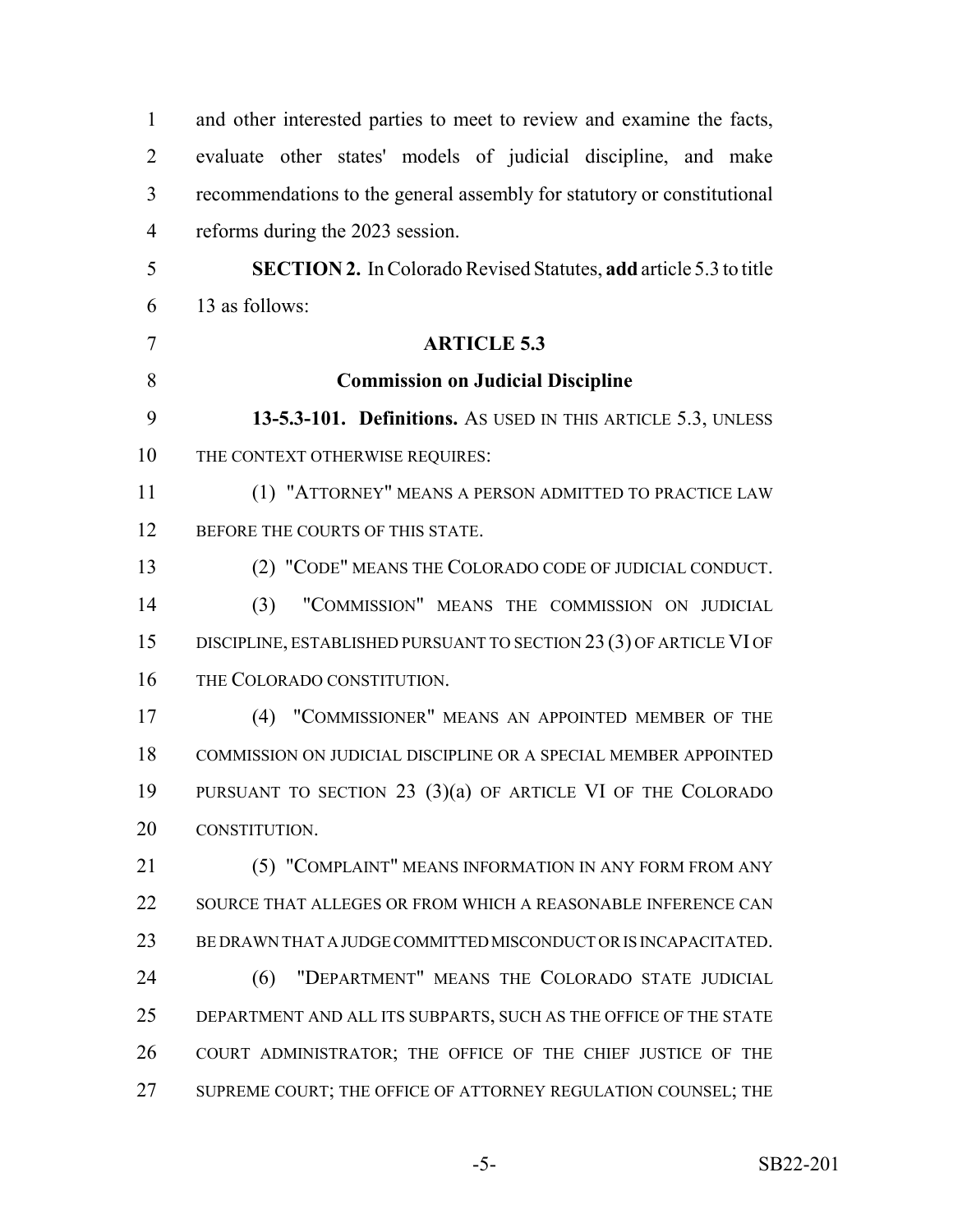| $\mathbf{1}$   | and other interested parties to meet to review and examine the facts,    |
|----------------|--------------------------------------------------------------------------|
| 2              | evaluate other states' models of judicial discipline, and make           |
| 3              | recommendations to the general assembly for statutory or constitutional  |
| $\overline{4}$ | reforms during the 2023 session.                                         |
| 5              | <b>SECTION 2.</b> In Colorado Revised Statutes, add article 5.3 to title |
| 6              | 13 as follows:                                                           |
| $\overline{7}$ | <b>ARTICLE 5.3</b>                                                       |
| 8              | <b>Commission on Judicial Discipline</b>                                 |
| 9              | 13-5.3-101. Definitions. As USED IN THIS ARTICLE 5.3, UNLESS             |
| 10             | THE CONTEXT OTHERWISE REQUIRES:                                          |
| 11             | (1) "ATTORNEY" MEANS A PERSON ADMITTED TO PRACTICE LAW                   |
| 12             | BEFORE THE COURTS OF THIS STATE.                                         |
| 13             | (2) "CODE" MEANS THE COLORADO CODE OF JUDICIAL CONDUCT.                  |
| 14             | "COMMISSION" MEANS THE COMMISSION ON JUDICIAL<br>(3)                     |
| 15             | DISCIPLINE, ESTABLISHED PURSUANT TO SECTION 23 (3) OF ARTICLE VI OF      |
| 16             | THE COLORADO CONSTITUTION.                                               |
| 17             | (4) "COMMISSIONER" MEANS AN APPOINTED MEMBER OF THE                      |
| 18             | COMMISSION ON JUDICIAL DISCIPLINE OR A SPECIAL MEMBER APPOINTED          |
| 19             | PURSUANT TO SECTION $23$ (3)(a) OF ARTICLE VI OF THE COLORADO            |
| 20             | CONSTITUTION.                                                            |
| 21             | (5) "COMPLAINT" MEANS INFORMATION IN ANY FORM FROM ANY                   |
| 22             | SOURCE THAT ALLEGES OR FROM WHICH A REASONABLE INFERENCE CAN             |
| 23             | BE DRAWN THAT A JUDGE COMMITTED MISCONDUCT OR IS INCAPACITATED.          |
| 24             | "DEPARTMENT" MEANS THE COLORADO STATE JUDICIAL<br>(6)                    |
| 25             | DEPARTMENT AND ALL ITS SUBPARTS, SUCH AS THE OFFICE OF THE STATE         |
| 26             | COURT ADMINISTRATOR; THE OFFICE OF THE CHIEF JUSTICE OF THE              |
| 27             | SUPREME COURT; THE OFFICE OF ATTORNEY REGULATION COUNSEL; THE            |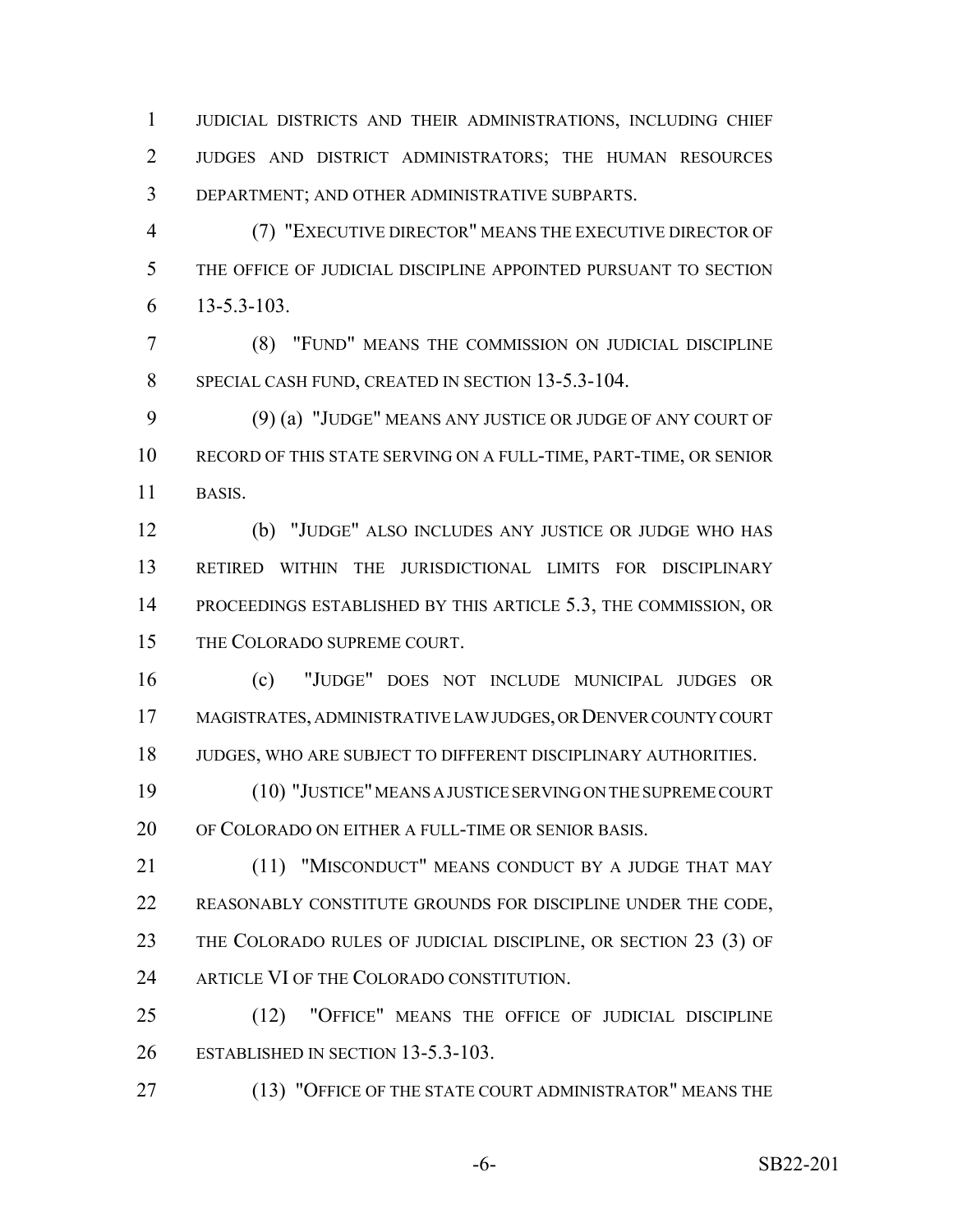JUDICIAL DISTRICTS AND THEIR ADMINISTRATIONS, INCLUDING CHIEF JUDGES AND DISTRICT ADMINISTRATORS; THE HUMAN RESOURCES DEPARTMENT; AND OTHER ADMINISTRATIVE SUBPARTS.

 (7) "EXECUTIVE DIRECTOR" MEANS THE EXECUTIVE DIRECTOR OF THE OFFICE OF JUDICIAL DISCIPLINE APPOINTED PURSUANT TO SECTION 13-5.3-103.

 (8) "FUND" MEANS THE COMMISSION ON JUDICIAL DISCIPLINE SPECIAL CASH FUND, CREATED IN SECTION 13-5.3-104.

 (9) (a) "JUDGE" MEANS ANY JUSTICE OR JUDGE OF ANY COURT OF RECORD OF THIS STATE SERVING ON A FULL-TIME, PART-TIME, OR SENIOR BASIS.

 (b) "JUDGE" ALSO INCLUDES ANY JUSTICE OR JUDGE WHO HAS RETIRED WITHIN THE JURISDICTIONAL LIMITS FOR DISCIPLINARY PROCEEDINGS ESTABLISHED BY THIS ARTICLE 5.3, THE COMMISSION, OR THE COLORADO SUPREME COURT.

 (c) "JUDGE" DOES NOT INCLUDE MUNICIPAL JUDGES OR MAGISTRATES, ADMINISTRATIVE LAW JUDGES, OR DENVER COUNTY COURT JUDGES, WHO ARE SUBJECT TO DIFFERENT DISCIPLINARY AUTHORITIES.

 (10) "JUSTICE" MEANS A JUSTICE SERVING ON THE SUPREME COURT 20 OF COLORADO ON EITHER A FULL-TIME OR SENIOR BASIS.

 (11) "MISCONDUCT" MEANS CONDUCT BY A JUDGE THAT MAY REASONABLY CONSTITUTE GROUNDS FOR DISCIPLINE UNDER THE CODE, THE COLORADO RULES OF JUDICIAL DISCIPLINE, OR SECTION 23 (3) OF ARTICLE VI OF THE COLORADO CONSTITUTION.

 (12) "OFFICE" MEANS THE OFFICE OF JUDICIAL DISCIPLINE ESTABLISHED IN SECTION 13-5.3-103.

(13) "OFFICE OF THE STATE COURT ADMINISTRATOR" MEANS THE

-6- SB22-201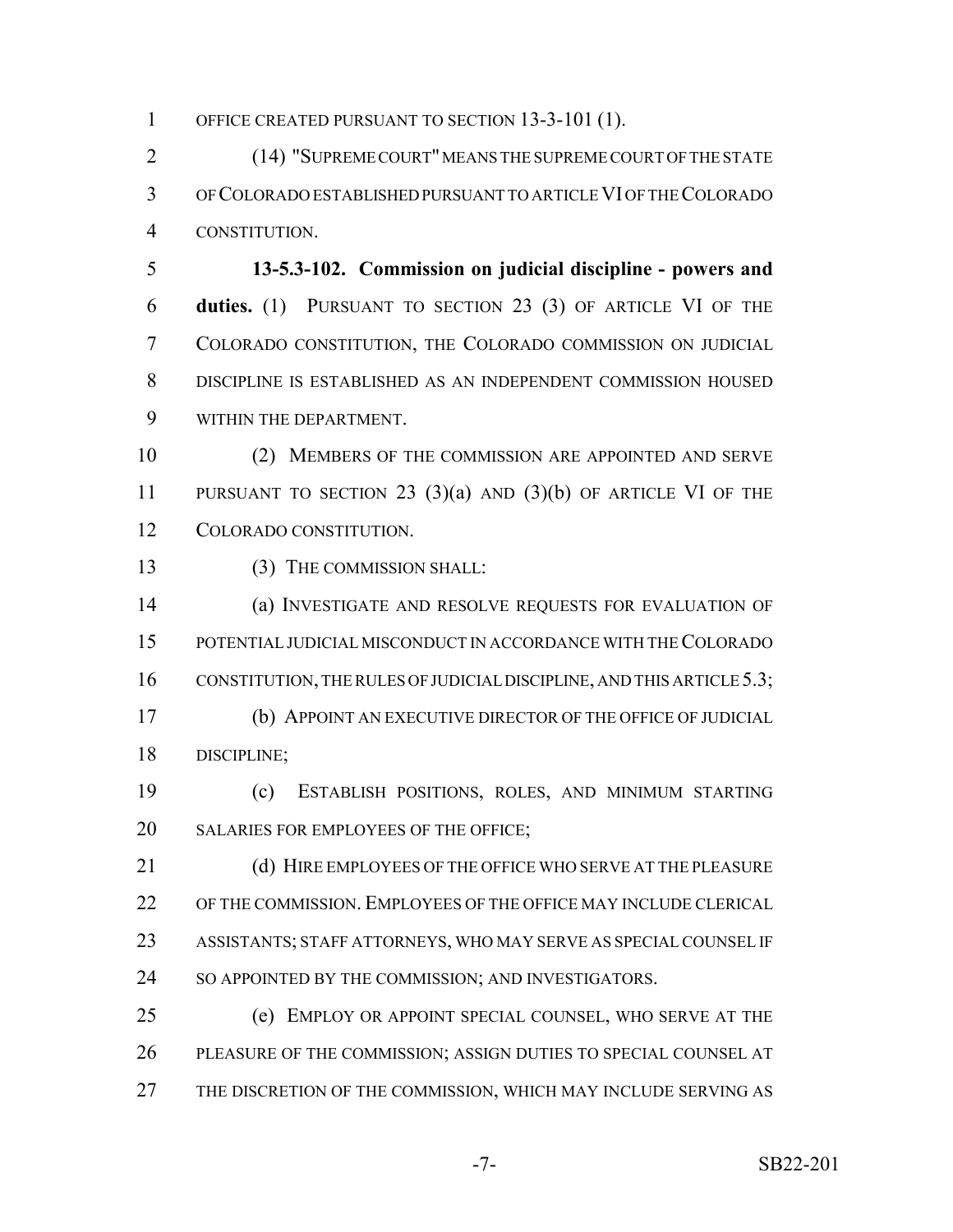1 OFFICE CREATED PURSUANT TO SECTION 13-3-101 (1).

 (14) "SUPREME COURT" MEANS THE SUPREME COURT OF THE STATE OF COLORADO ESTABLISHED PURSUANT TO ARTICLE VI OF THE COLORADO CONSTITUTION.

 **13-5.3-102. Commission on judicial discipline - powers and duties.** (1) PURSUANT TO SECTION 23 (3) OF ARTICLE VI OF THE COLORADO CONSTITUTION, THE COLORADO COMMISSION ON JUDICIAL DISCIPLINE IS ESTABLISHED AS AN INDEPENDENT COMMISSION HOUSED WITHIN THE DEPARTMENT.

10 (2) MEMBERS OF THE COMMISSION ARE APPOINTED AND SERVE PURSUANT TO SECTION 23 (3)(a) AND (3)(b) OF ARTICLE VI OF THE COLORADO CONSTITUTION.

13 (3) THE COMMISSION SHALL:

 (a) INVESTIGATE AND RESOLVE REQUESTS FOR EVALUATION OF POTENTIAL JUDICIAL MISCONDUCT IN ACCORDANCE WITH THE COLORADO 16 CONSTITUTION, THE RULES OF JUDICIAL DISCIPLINE, AND THIS ARTICLE 5.3; (b) APPOINT AN EXECUTIVE DIRECTOR OF THE OFFICE OF JUDICIAL

- DISCIPLINE;
- (c) ESTABLISH POSITIONS, ROLES, AND MINIMUM STARTING SALARIES FOR EMPLOYEES OF THE OFFICE;

21 (d) HIRE EMPLOYEES OF THE OFFICE WHO SERVE AT THE PLEASURE OF THE COMMISSION. EMPLOYEES OF THE OFFICE MAY INCLUDE CLERICAL ASSISTANTS; STAFF ATTORNEYS, WHO MAY SERVE AS SPECIAL COUNSEL IF 24 SO APPOINTED BY THE COMMISSION; AND INVESTIGATORS.

 (e) EMPLOY OR APPOINT SPECIAL COUNSEL, WHO SERVE AT THE PLEASURE OF THE COMMISSION; ASSIGN DUTIES TO SPECIAL COUNSEL AT THE DISCRETION OF THE COMMISSION, WHICH MAY INCLUDE SERVING AS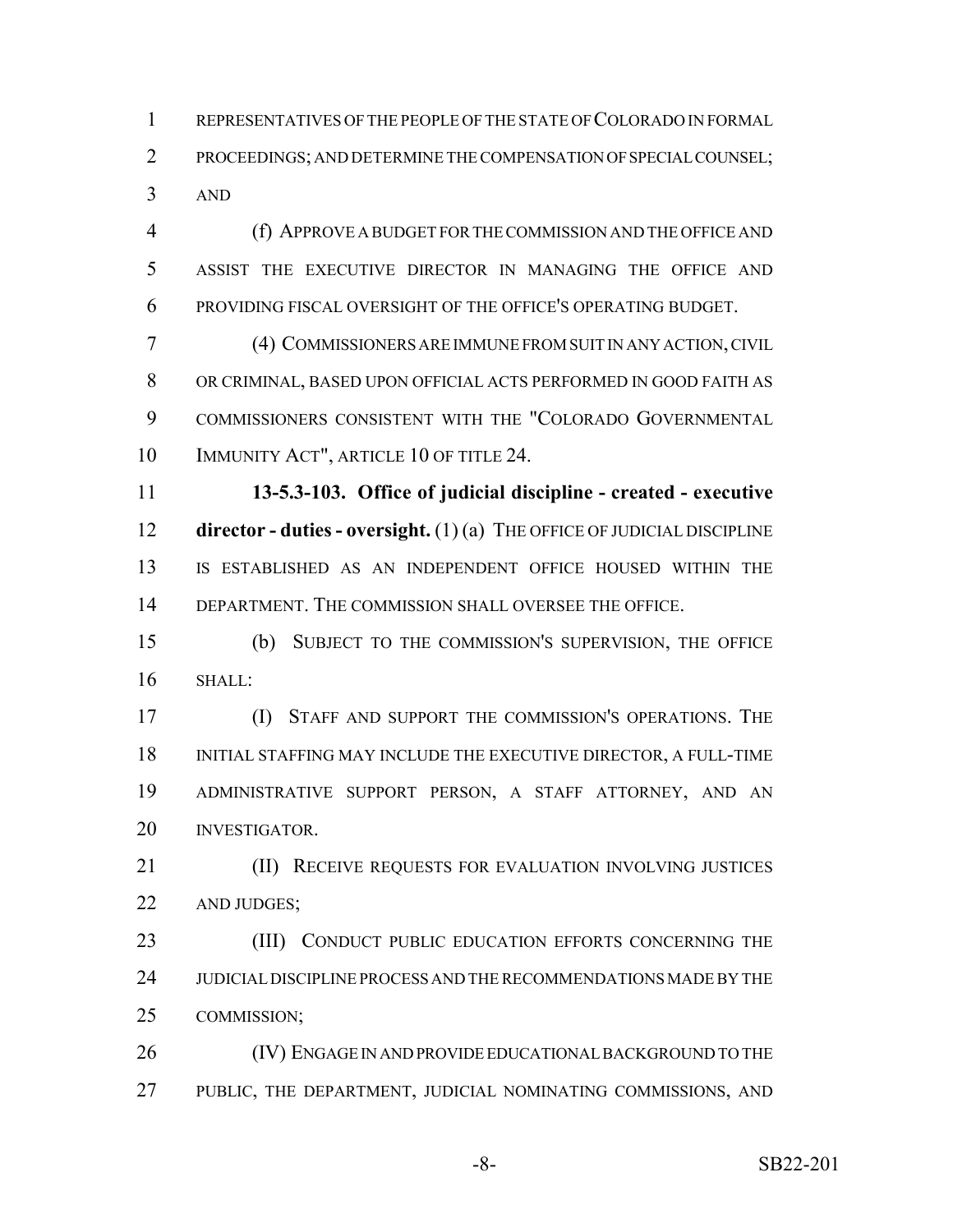REPRESENTATIVES OF THE PEOPLE OF THE STATE OF COLORADO IN FORMAL PROCEEDINGS; AND DETERMINE THE COMPENSATION OF SPECIAL COUNSEL; AND

 (f) APPROVE A BUDGET FOR THE COMMISSION AND THE OFFICE AND ASSIST THE EXECUTIVE DIRECTOR IN MANAGING THE OFFICE AND PROVIDING FISCAL OVERSIGHT OF THE OFFICE'S OPERATING BUDGET.

 (4) COMMISSIONERS ARE IMMUNE FROM SUIT IN ANY ACTION, CIVIL OR CRIMINAL, BASED UPON OFFICIAL ACTS PERFORMED IN GOOD FAITH AS COMMISSIONERS CONSISTENT WITH THE "COLORADO GOVERNMENTAL 10 IMMUNITY ACT", ARTICLE 10 OF TITLE 24.

 **13-5.3-103. Office of judicial discipline - created - executive director - duties - oversight.** (1) (a) THE OFFICE OF JUDICIAL DISCIPLINE IS ESTABLISHED AS AN INDEPENDENT OFFICE HOUSED WITHIN THE DEPARTMENT. THE COMMISSION SHALL OVERSEE THE OFFICE.

 (b) SUBJECT TO THE COMMISSION'S SUPERVISION, THE OFFICE SHALL:

 (I) STAFF AND SUPPORT THE COMMISSION'S OPERATIONS. THE 18 INITIAL STAFFING MAY INCLUDE THE EXECUTIVE DIRECTOR, A FULL-TIME ADMINISTRATIVE SUPPORT PERSON, A STAFF ATTORNEY, AND AN INVESTIGATOR.

**(II) RECEIVE REQUESTS FOR EVALUATION INVOLVING JUSTICES** AND JUDGES;

23 (III) CONDUCT PUBLIC EDUCATION EFFORTS CONCERNING THE JUDICIAL DISCIPLINE PROCESS AND THE RECOMMENDATIONS MADE BY THE COMMISSION;

 (IV) ENGAGE IN AND PROVIDE EDUCATIONAL BACKGROUND TO THE PUBLIC, THE DEPARTMENT, JUDICIAL NOMINATING COMMISSIONS, AND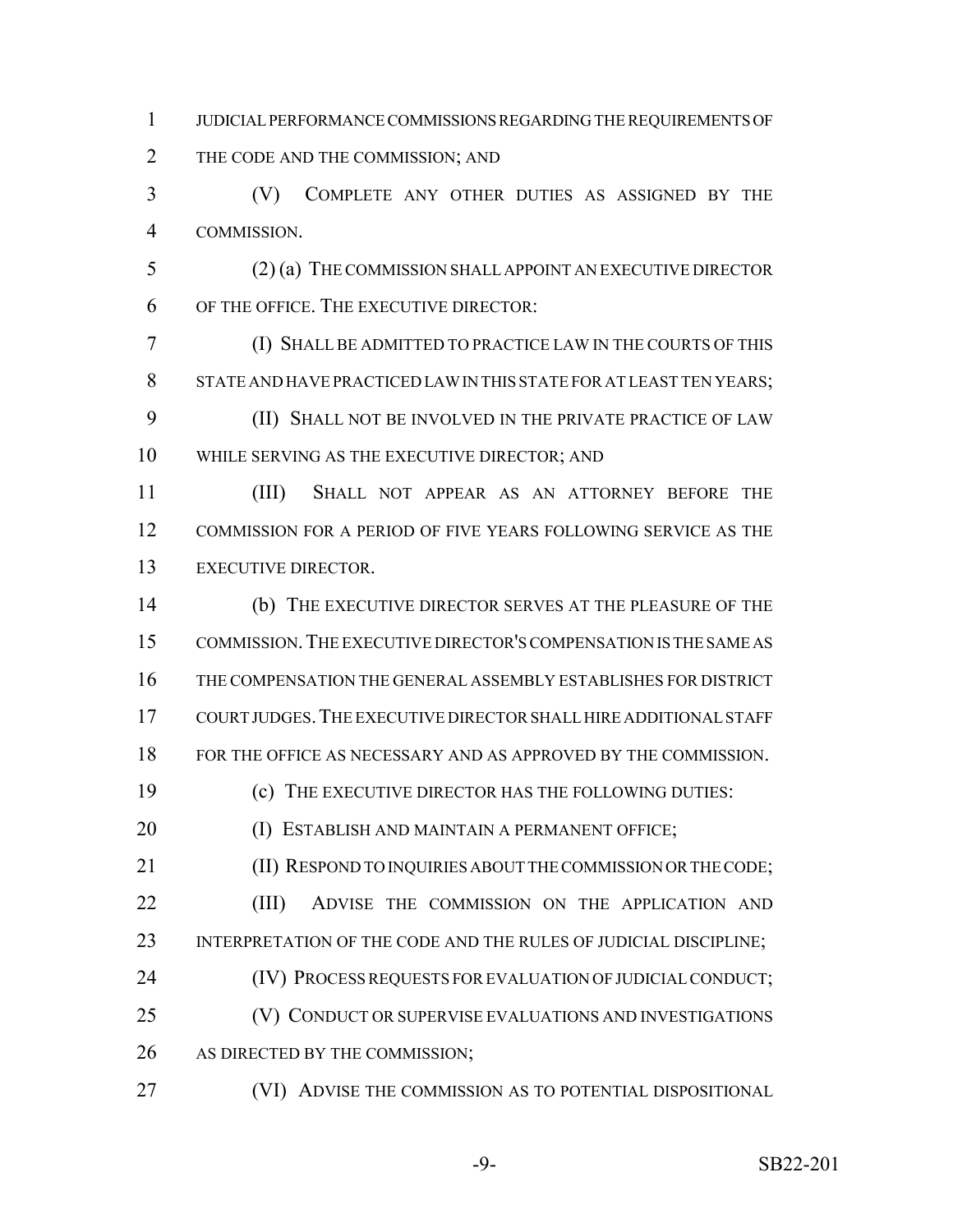JUDICIAL PERFORMANCE COMMISSIONS REGARDING THE REQUIREMENTS OF 2 THE CODE AND THE COMMISSION; AND

 (V) COMPLETE ANY OTHER DUTIES AS ASSIGNED BY THE COMMISSION.

 (2) (a) THE COMMISSION SHALL APPOINT AN EXECUTIVE DIRECTOR OF THE OFFICE. THE EXECUTIVE DIRECTOR:

 (I) SHALL BE ADMITTED TO PRACTICE LAW IN THE COURTS OF THIS STATE AND HAVE PRACTICED LAW IN THIS STATE FOR AT LEAST TEN YEARS; (II) SHALL NOT BE INVOLVED IN THE PRIVATE PRACTICE OF LAW WHILE SERVING AS THE EXECUTIVE DIRECTOR; AND

 (III) SHALL NOT APPEAR AS AN ATTORNEY BEFORE THE COMMISSION FOR A PERIOD OF FIVE YEARS FOLLOWING SERVICE AS THE 13 EXECUTIVE DIRECTOR.

 (b) THE EXECUTIVE DIRECTOR SERVES AT THE PLEASURE OF THE COMMISSION.THE EXECUTIVE DIRECTOR'S COMPENSATION IS THE SAME AS THE COMPENSATION THE GENERAL ASSEMBLY ESTABLISHES FOR DISTRICT COURT JUDGES.THE EXECUTIVE DIRECTOR SHALL HIRE ADDITIONAL STAFF FOR THE OFFICE AS NECESSARY AND AS APPROVED BY THE COMMISSION.

(c) THE EXECUTIVE DIRECTOR HAS THE FOLLOWING DUTIES:

**(I) ESTABLISH AND MAINTAIN A PERMANENT OFFICE;** 

21 (II) RESPOND TO INQUIRIES ABOUT THE COMMISSION OR THE CODE;

**(III)** ADVISE THE COMMISSION ON THE APPLICATION AND 23 INTERPRETATION OF THE CODE AND THE RULES OF JUDICIAL DISCIPLINE;

24 (IV) PROCESS REQUESTS FOR EVALUATION OF JUDICIAL CONDUCT;

 (V) CONDUCT OR SUPERVISE EVALUATIONS AND INVESTIGATIONS 26 AS DIRECTED BY THE COMMISSION;

(VI) ADVISE THE COMMISSION AS TO POTENTIAL DISPOSITIONAL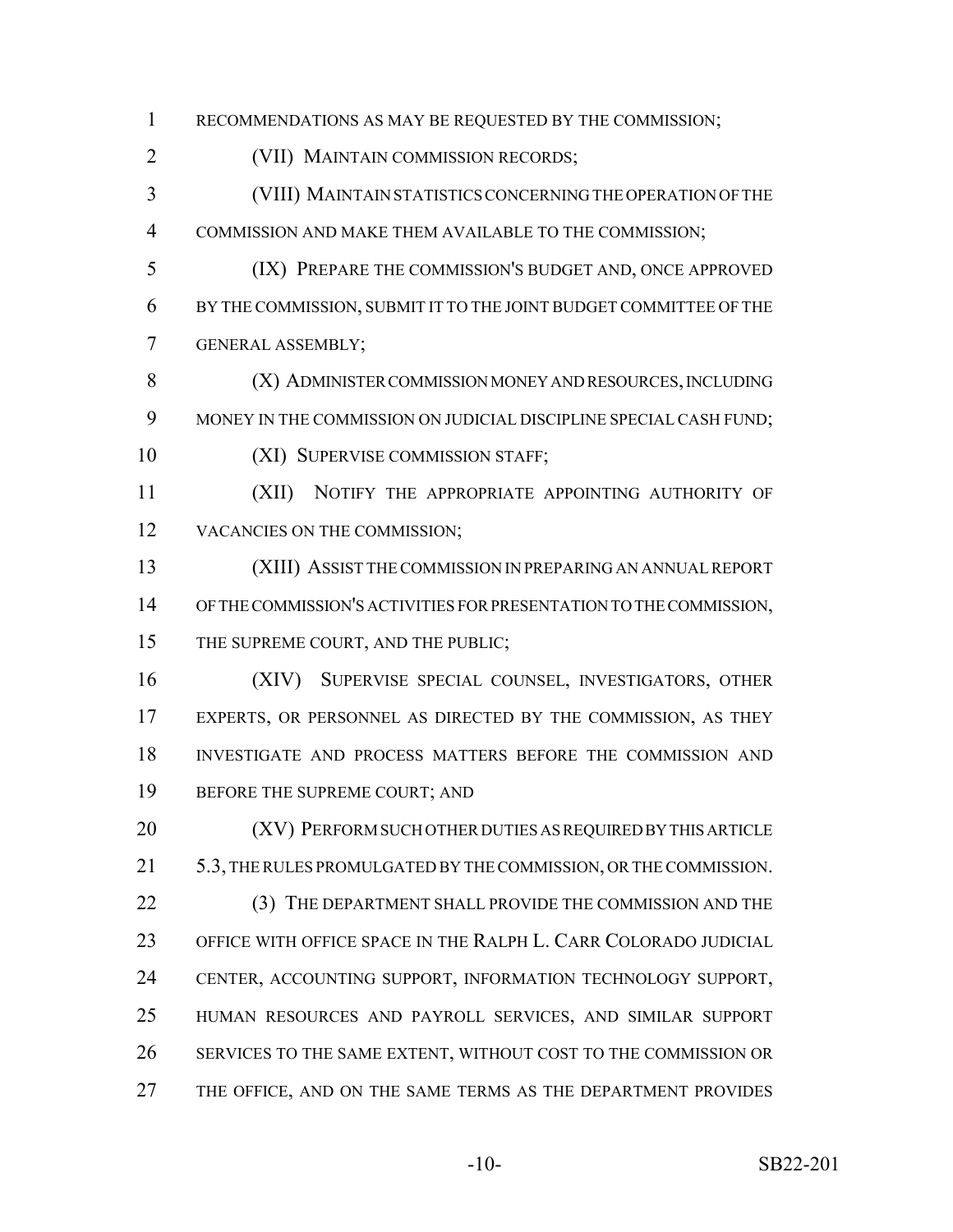RECOMMENDATIONS AS MAY BE REQUESTED BY THE COMMISSION;

(VII) MAINTAIN COMMISSION RECORDS;

 (VIII) MAINTAIN STATISTICS CONCERNING THE OPERATION OF THE COMMISSION AND MAKE THEM AVAILABLE TO THE COMMISSION;

 (IX) PREPARE THE COMMISSION'S BUDGET AND, ONCE APPROVED BY THE COMMISSION, SUBMIT IT TO THE JOINT BUDGET COMMITTEE OF THE GENERAL ASSEMBLY;

8 (X) ADMINISTER COMMISSION MONEY AND RESOURCES, INCLUDING MONEY IN THE COMMISSION ON JUDICIAL DISCIPLINE SPECIAL CASH FUND;

10 (XI) SUPERVISE COMMISSION STAFF;

 (XII) NOTIFY THE APPROPRIATE APPOINTING AUTHORITY OF 12 VACANCIES ON THE COMMISSION;

 (XIII) ASSIST THE COMMISSION IN PREPARING AN ANNUAL REPORT OF THE COMMISSION'S ACTIVITIES FOR PRESENTATION TO THE COMMISSION, 15 THE SUPREME COURT, AND THE PUBLIC;

 (XIV) SUPERVISE SPECIAL COUNSEL, INVESTIGATORS, OTHER EXPERTS, OR PERSONNEL AS DIRECTED BY THE COMMISSION, AS THEY INVESTIGATE AND PROCESS MATTERS BEFORE THE COMMISSION AND 19 BEFORE THE SUPREME COURT; AND

**(XV) PERFORM SUCH OTHER DUTIES AS REQUIRED BY THIS ARTICLE**  5.3, THE RULES PROMULGATED BY THE COMMISSION, OR THE COMMISSION. 22 (3) THE DEPARTMENT SHALL PROVIDE THE COMMISSION AND THE OFFICE WITH OFFICE SPACE IN THE RALPH L. CARR COLORADO JUDICIAL CENTER, ACCOUNTING SUPPORT, INFORMATION TECHNOLOGY SUPPORT, HUMAN RESOURCES AND PAYROLL SERVICES, AND SIMILAR SUPPORT SERVICES TO THE SAME EXTENT, WITHOUT COST TO THE COMMISSION OR 27 THE OFFICE, AND ON THE SAME TERMS AS THE DEPARTMENT PROVIDES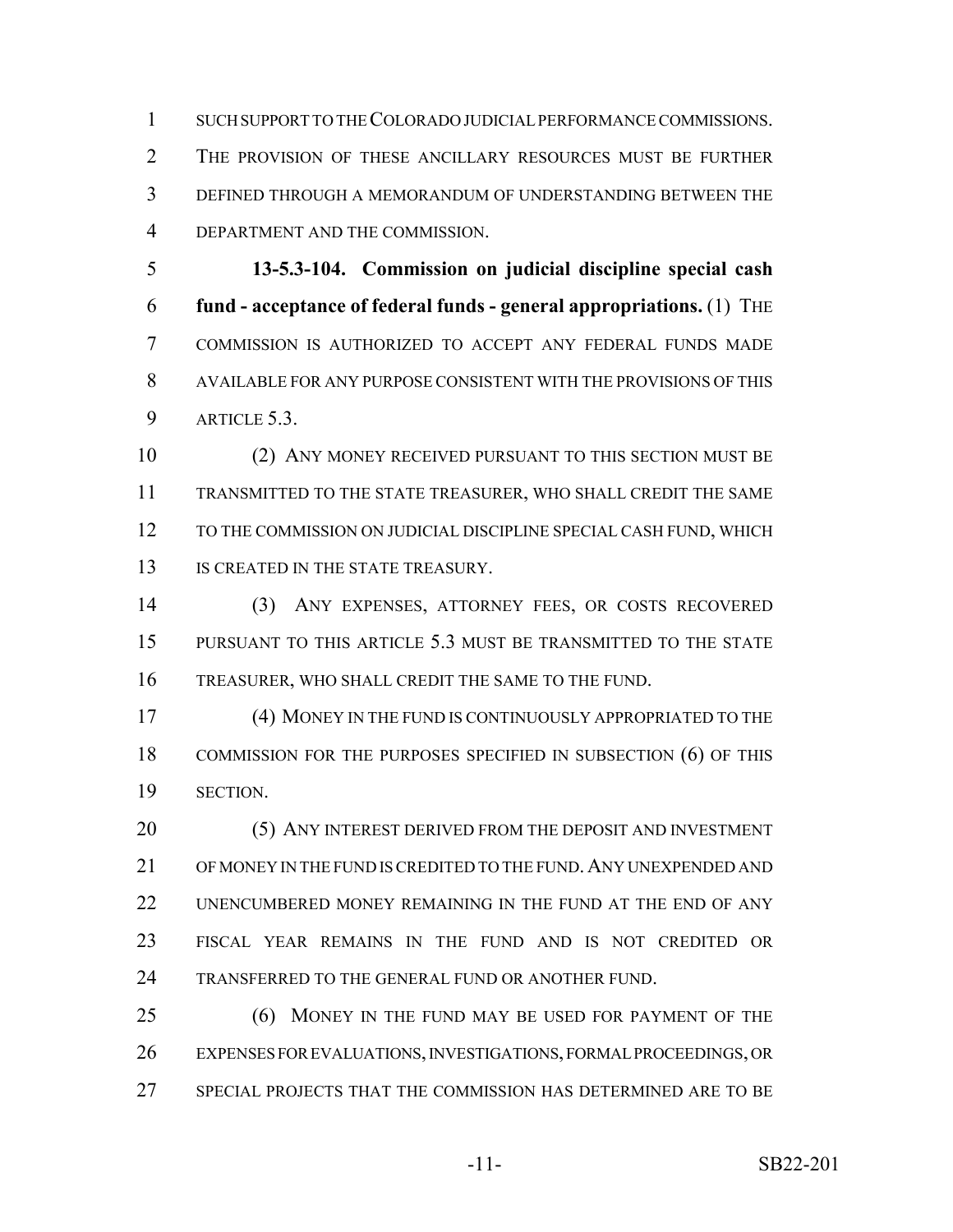SUCH SUPPORT TO THE COLORADO JUDICIAL PERFORMANCE COMMISSIONS. THE PROVISION OF THESE ANCILLARY RESOURCES MUST BE FURTHER DEFINED THROUGH A MEMORANDUM OF UNDERSTANDING BETWEEN THE DEPARTMENT AND THE COMMISSION.

 **13-5.3-104. Commission on judicial discipline special cash fund - acceptance of federal funds - general appropriations.** (1) THE COMMISSION IS AUTHORIZED TO ACCEPT ANY FEDERAL FUNDS MADE AVAILABLE FOR ANY PURPOSE CONSISTENT WITH THE PROVISIONS OF THIS ARTICLE 5.3.

 (2) ANY MONEY RECEIVED PURSUANT TO THIS SECTION MUST BE TRANSMITTED TO THE STATE TREASURER, WHO SHALL CREDIT THE SAME TO THE COMMISSION ON JUDICIAL DISCIPLINE SPECIAL CASH FUND, WHICH 13 IS CREATED IN THE STATE TREASURY.

 (3) ANY EXPENSES, ATTORNEY FEES, OR COSTS RECOVERED PURSUANT TO THIS ARTICLE 5.3 MUST BE TRANSMITTED TO THE STATE TREASURER, WHO SHALL CREDIT THE SAME TO THE FUND.

 (4) MONEY IN THE FUND IS CONTINUOUSLY APPROPRIATED TO THE 18 COMMISSION FOR THE PURPOSES SPECIFIED IN SUBSECTION (6) OF THIS SECTION.

 (5) ANY INTEREST DERIVED FROM THE DEPOSIT AND INVESTMENT OF MONEY IN THE FUND IS CREDITED TO THE FUND.ANY UNEXPENDED AND UNENCUMBERED MONEY REMAINING IN THE FUND AT THE END OF ANY FISCAL YEAR REMAINS IN THE FUND AND IS NOT CREDITED OR TRANSFERRED TO THE GENERAL FUND OR ANOTHER FUND.

25 (6) MONEY IN THE FUND MAY BE USED FOR PAYMENT OF THE EXPENSES FOR EVALUATIONS, INVESTIGATIONS, FORMAL PROCEEDINGS, OR SPECIAL PROJECTS THAT THE COMMISSION HAS DETERMINED ARE TO BE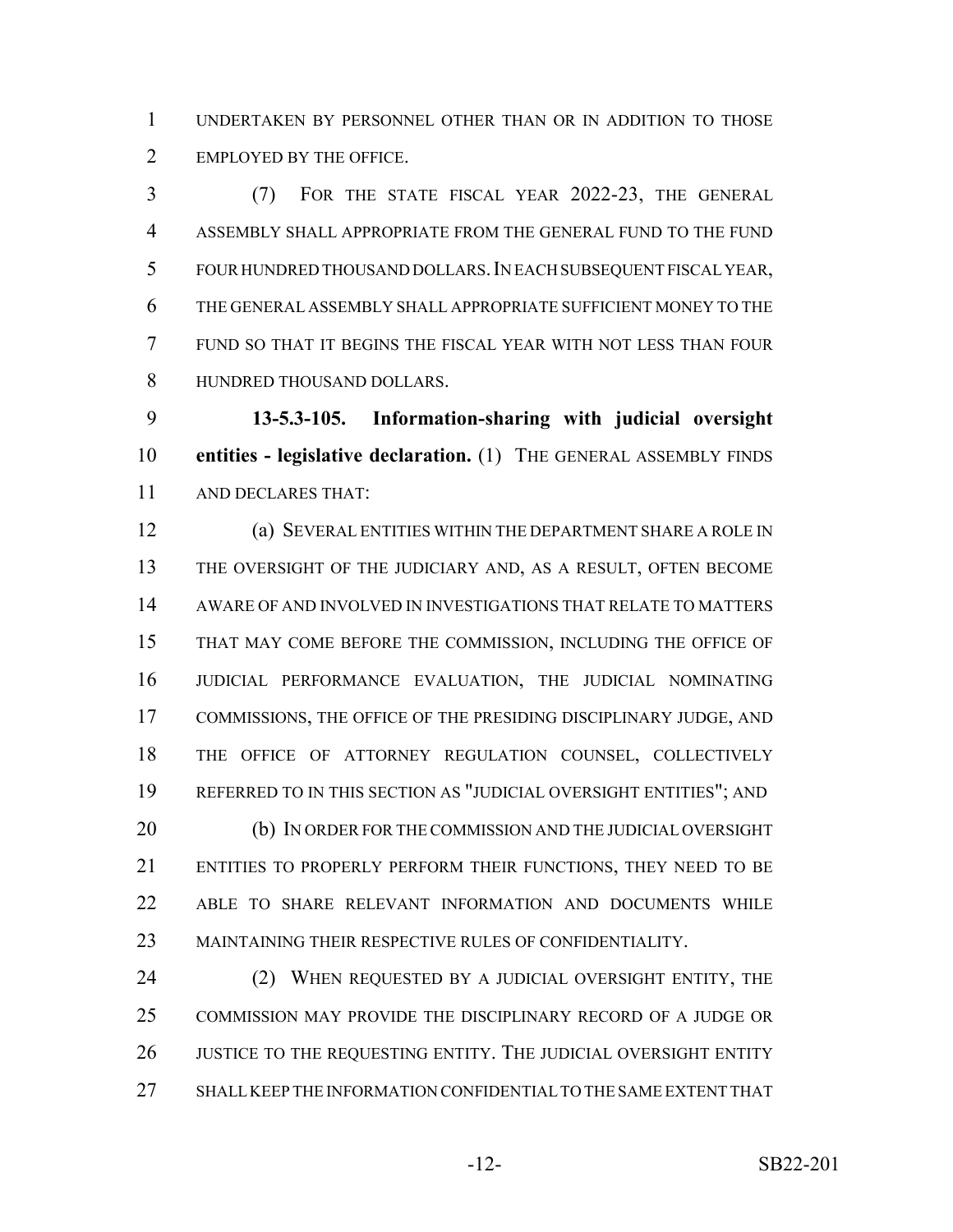UNDERTAKEN BY PERSONNEL OTHER THAN OR IN ADDITION TO THOSE 2 EMPLOYED BY THE OFFICE.

 (7) FOR THE STATE FISCAL YEAR 2022-23, THE GENERAL ASSEMBLY SHALL APPROPRIATE FROM THE GENERAL FUND TO THE FUND FOUR HUNDRED THOUSAND DOLLARS.IN EACH SUBSEQUENT FISCAL YEAR, THE GENERAL ASSEMBLY SHALL APPROPRIATE SUFFICIENT MONEY TO THE FUND SO THAT IT BEGINS THE FISCAL YEAR WITH NOT LESS THAN FOUR HUNDRED THOUSAND DOLLARS.

 **13-5.3-105. Information-sharing with judicial oversight entities - legislative declaration.** (1) THE GENERAL ASSEMBLY FINDS AND DECLARES THAT:

 (a) SEVERAL ENTITIES WITHIN THE DEPARTMENT SHARE A ROLE IN THE OVERSIGHT OF THE JUDICIARY AND, AS A RESULT, OFTEN BECOME AWARE OF AND INVOLVED IN INVESTIGATIONS THAT RELATE TO MATTERS THAT MAY COME BEFORE THE COMMISSION, INCLUDING THE OFFICE OF JUDICIAL PERFORMANCE EVALUATION, THE JUDICIAL NOMINATING COMMISSIONS, THE OFFICE OF THE PRESIDING DISCIPLINARY JUDGE, AND 18 THE OFFICE OF ATTORNEY REGULATION COUNSEL, COLLECTIVELY REFERRED TO IN THIS SECTION AS "JUDICIAL OVERSIGHT ENTITIES"; AND (b) IN ORDER FOR THE COMMISSION AND THE JUDICIAL OVERSIGHT ENTITIES TO PROPERLY PERFORM THEIR FUNCTIONS, THEY NEED TO BE ABLE TO SHARE RELEVANT INFORMATION AND DOCUMENTS WHILE 23 MAINTAINING THEIR RESPECTIVE RULES OF CONFIDENTIALITY.

24 (2) WHEN REQUESTED BY A JUDICIAL OVERSIGHT ENTITY, THE COMMISSION MAY PROVIDE THE DISCIPLINARY RECORD OF A JUDGE OR JUSTICE TO THE REQUESTING ENTITY. THE JUDICIAL OVERSIGHT ENTITY SHALL KEEP THE INFORMATION CONFIDENTIAL TO THE SAME EXTENT THAT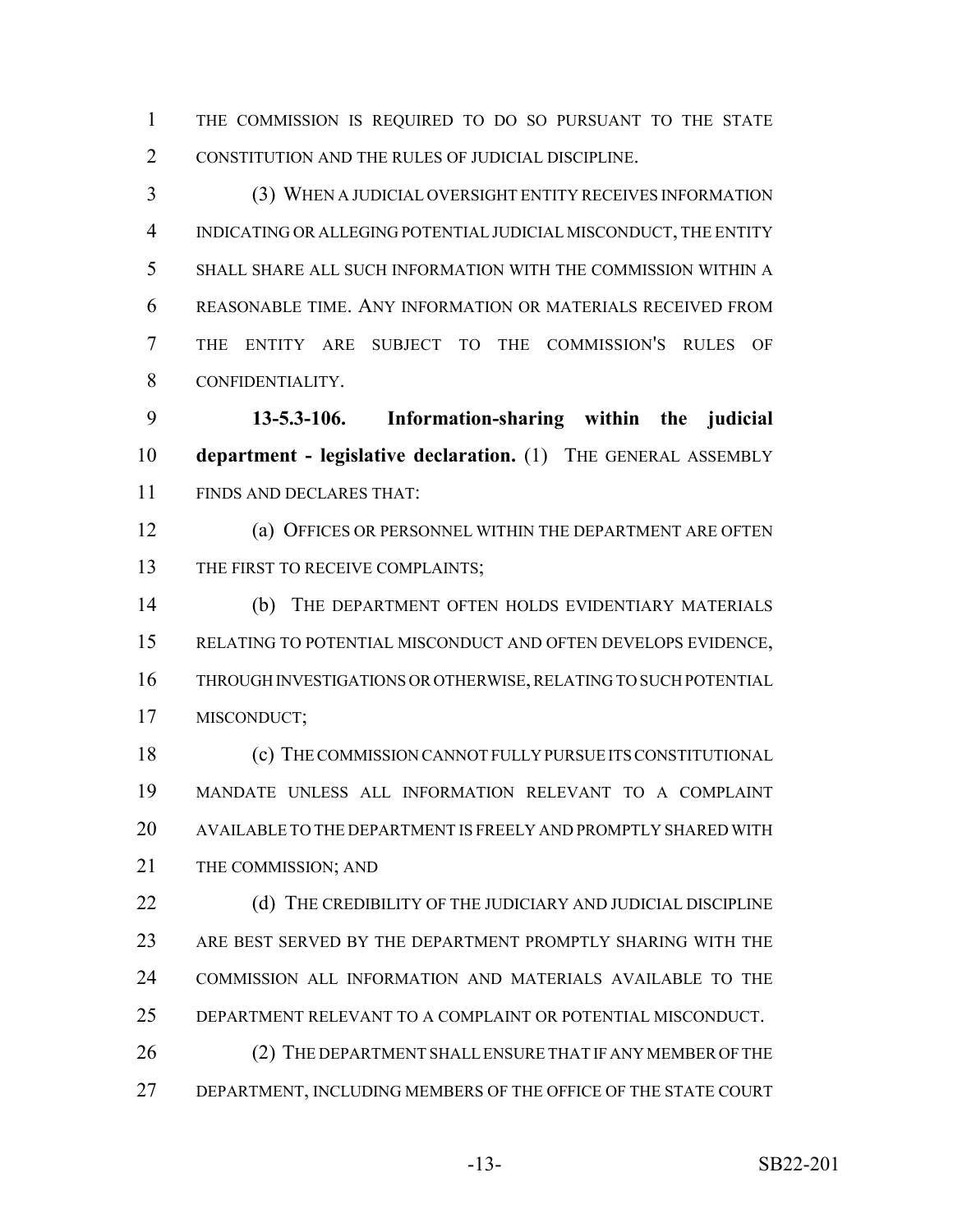THE COMMISSION IS REQUIRED TO DO SO PURSUANT TO THE STATE CONSTITUTION AND THE RULES OF JUDICIAL DISCIPLINE.

 (3) WHEN A JUDICIAL OVERSIGHT ENTITY RECEIVES INFORMATION INDICATING OR ALLEGING POTENTIAL JUDICIAL MISCONDUCT, THE ENTITY SHALL SHARE ALL SUCH INFORMATION WITH THE COMMISSION WITHIN A REASONABLE TIME. ANY INFORMATION OR MATERIALS RECEIVED FROM THE ENTITY ARE SUBJECT TO THE COMMISSION'S RULES OF CONFIDENTIALITY.

 **13-5.3-106. Information-sharing within the judicial department - legislative declaration.** (1) THE GENERAL ASSEMBLY FINDS AND DECLARES THAT:

 (a) OFFICES OR PERSONNEL WITHIN THE DEPARTMENT ARE OFTEN 13 THE FIRST TO RECEIVE COMPLAINTS;

 (b) THE DEPARTMENT OFTEN HOLDS EVIDENTIARY MATERIALS RELATING TO POTENTIAL MISCONDUCT AND OFTEN DEVELOPS EVIDENCE, THROUGH INVESTIGATIONS OR OTHERWISE, RELATING TO SUCH POTENTIAL MISCONDUCT;

 (c) THE COMMISSION CANNOT FULLY PURSUE ITS CONSTITUTIONAL MANDATE UNLESS ALL INFORMATION RELEVANT TO A COMPLAINT AVAILABLE TO THE DEPARTMENT IS FREELY AND PROMPTLY SHARED WITH 21 THE COMMISSION: AND

**(d)** THE CREDIBILITY OF THE JUDICIARY AND JUDICIAL DISCIPLINE ARE BEST SERVED BY THE DEPARTMENT PROMPTLY SHARING WITH THE COMMISSION ALL INFORMATION AND MATERIALS AVAILABLE TO THE DEPARTMENT RELEVANT TO A COMPLAINT OR POTENTIAL MISCONDUCT.

26 (2) THE DEPARTMENT SHALL ENSURE THAT IF ANY MEMBER OF THE DEPARTMENT, INCLUDING MEMBERS OF THE OFFICE OF THE STATE COURT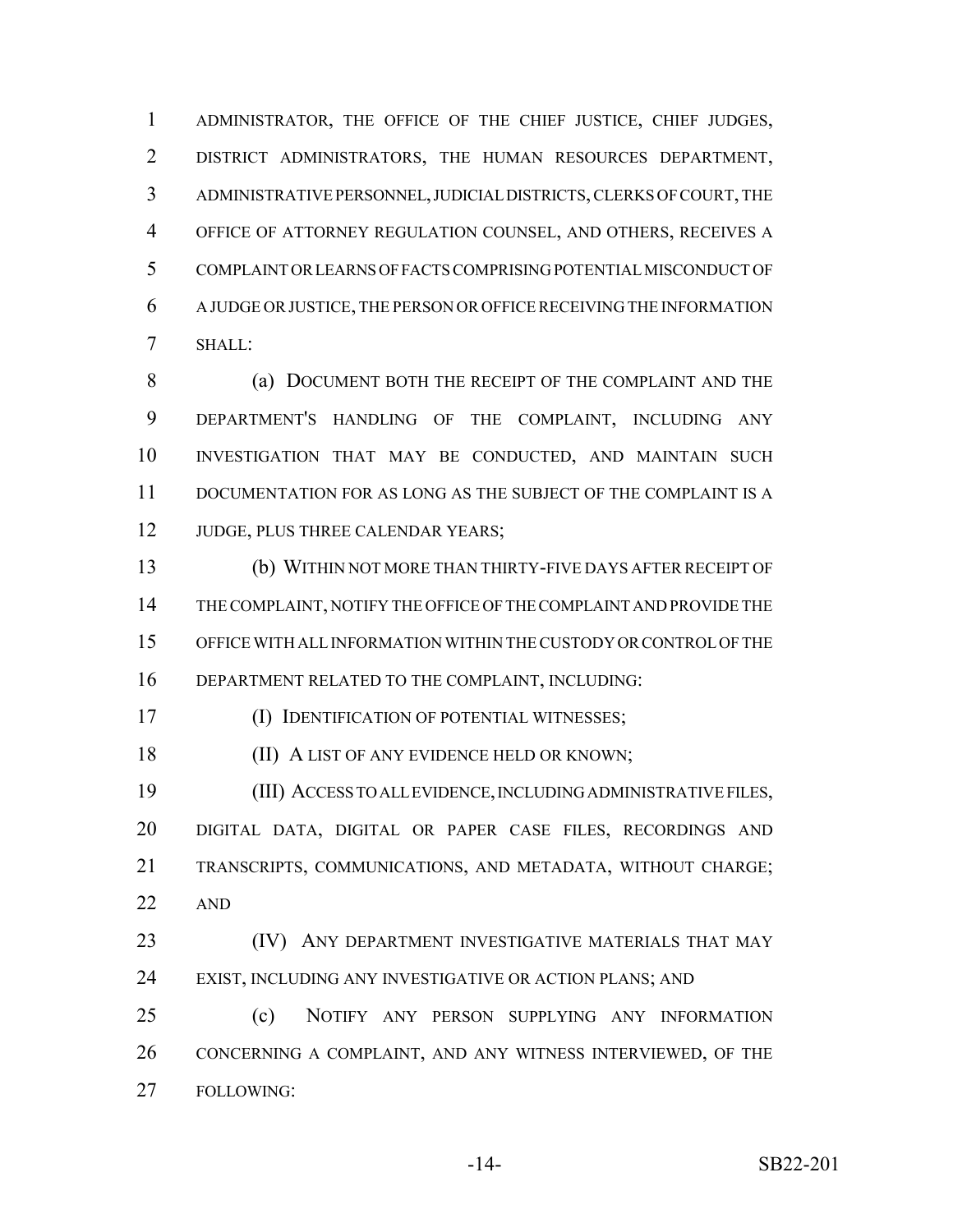ADMINISTRATOR, THE OFFICE OF THE CHIEF JUSTICE, CHIEF JUDGES, DISTRICT ADMINISTRATORS, THE HUMAN RESOURCES DEPARTMENT, ADMINISTRATIVE PERSONNEL, JUDICIAL DISTRICTS, CLERKS OF COURT, THE OFFICE OF ATTORNEY REGULATION COUNSEL, AND OTHERS, RECEIVES A COMPLAINT OR LEARNS OF FACTS COMPRISING POTENTIAL MISCONDUCT OF A JUDGE OR JUSTICE, THE PERSON OR OFFICE RECEIVING THE INFORMATION SHALL:

8 (a) DOCUMENT BOTH THE RECEIPT OF THE COMPLAINT AND THE DEPARTMENT'S HANDLING OF THE COMPLAINT, INCLUDING ANY INVESTIGATION THAT MAY BE CONDUCTED, AND MAINTAIN SUCH DOCUMENTATION FOR AS LONG AS THE SUBJECT OF THE COMPLAINT IS A 12 JUDGE, PLUS THREE CALENDAR YEARS;

 (b) WITHIN NOT MORE THAN THIRTY-FIVE DAYS AFTER RECEIPT OF THE COMPLAINT, NOTIFY THE OFFICE OF THE COMPLAINT AND PROVIDE THE OFFICE WITH ALL INFORMATION WITHIN THE CUSTODY OR CONTROL OF THE DEPARTMENT RELATED TO THE COMPLAINT, INCLUDING:

(I) IDENTIFICATION OF POTENTIAL WITNESSES;

18 (II) A LIST OF ANY EVIDENCE HELD OR KNOWN;

 (III) ACCESS TO ALL EVIDENCE, INCLUDING ADMINISTRATIVE FILES, DIGITAL DATA, DIGITAL OR PAPER CASE FILES, RECORDINGS AND TRANSCRIPTS, COMMUNICATIONS, AND METADATA, WITHOUT CHARGE; AND

**(IV) ANY DEPARTMENT INVESTIGATIVE MATERIALS THAT MAY** 24 EXIST, INCLUDING ANY INVESTIGATIVE OR ACTION PLANS; AND

 (c) NOTIFY ANY PERSON SUPPLYING ANY INFORMATION CONCERNING A COMPLAINT, AND ANY WITNESS INTERVIEWED, OF THE FOLLOWING: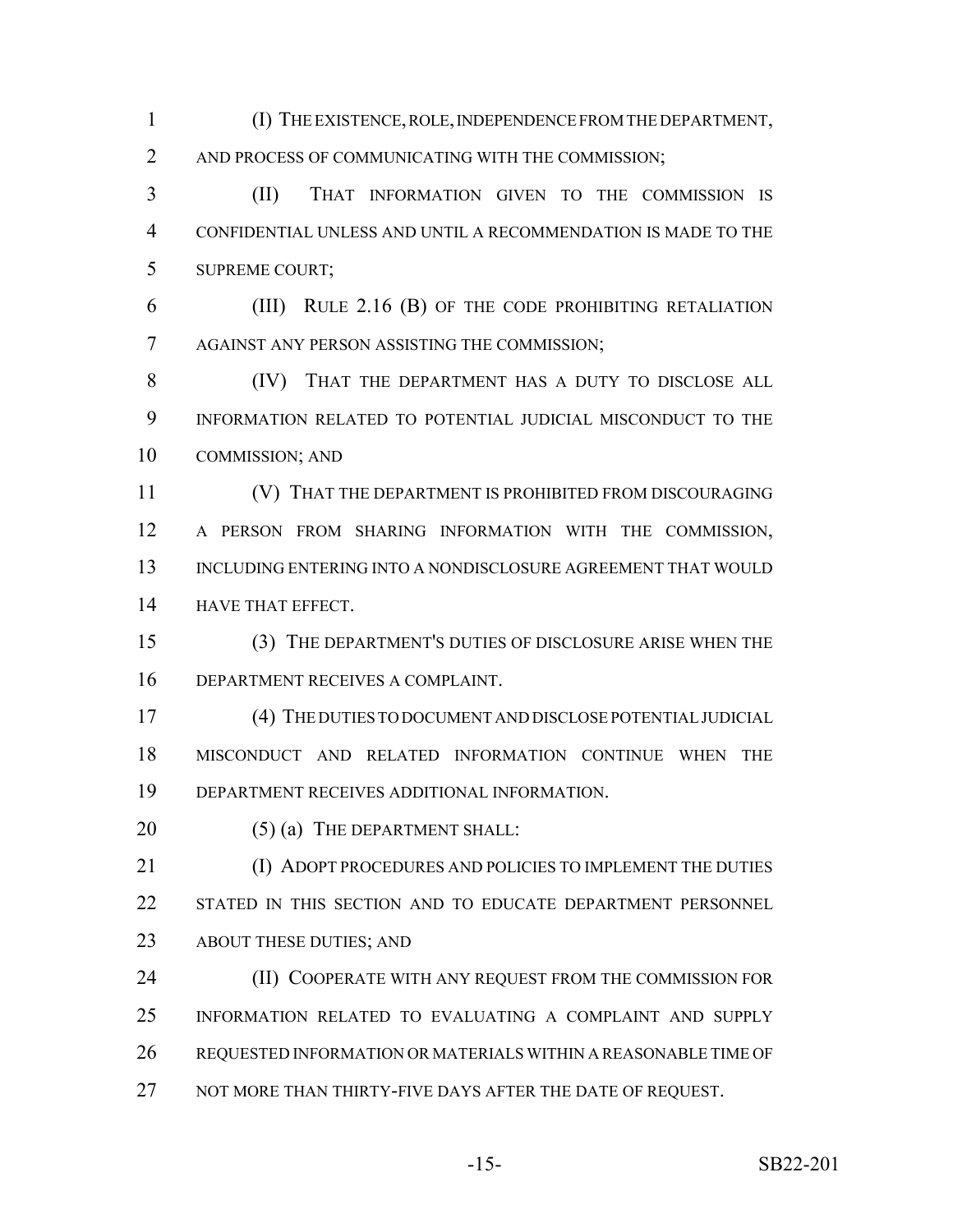(I) THE EXISTENCE, ROLE, INDEPENDENCE FROM THE DEPARTMENT, AND PROCESS OF COMMUNICATING WITH THE COMMISSION;

 (II) THAT INFORMATION GIVEN TO THE COMMISSION IS CONFIDENTIAL UNLESS AND UNTIL A RECOMMENDATION IS MADE TO THE SUPREME COURT;

 (III) RULE 2.16 (B) OF THE CODE PROHIBITING RETALIATION AGAINST ANY PERSON ASSISTING THE COMMISSION;

 (IV) THAT THE DEPARTMENT HAS A DUTY TO DISCLOSE ALL INFORMATION RELATED TO POTENTIAL JUDICIAL MISCONDUCT TO THE COMMISSION; AND

 (V) THAT THE DEPARTMENT IS PROHIBITED FROM DISCOURAGING A PERSON FROM SHARING INFORMATION WITH THE COMMISSION, INCLUDING ENTERING INTO A NONDISCLOSURE AGREEMENT THAT WOULD HAVE THAT EFFECT.

 (3) THE DEPARTMENT'S DUTIES OF DISCLOSURE ARISE WHEN THE DEPARTMENT RECEIVES A COMPLAINT.

 (4) THE DUTIES TO DOCUMENT AND DISCLOSE POTENTIAL JUDICIAL MISCONDUCT AND RELATED INFORMATION CONTINUE WHEN THE DEPARTMENT RECEIVES ADDITIONAL INFORMATION.

20 (5) (a) THE DEPARTMENT SHALL:

21 (I) ADOPT PROCEDURES AND POLICIES TO IMPLEMENT THE DUTIES 22 STATED IN THIS SECTION AND TO EDUCATE DEPARTMENT PERSONNEL ABOUT THESE DUTIES; AND

**(II) COOPERATE WITH ANY REQUEST FROM THE COMMISSION FOR**  INFORMATION RELATED TO EVALUATING A COMPLAINT AND SUPPLY REQUESTED INFORMATION OR MATERIALS WITHIN A REASONABLE TIME OF 27 NOT MORE THAN THIRTY-FIVE DAYS AFTER THE DATE OF REQUEST.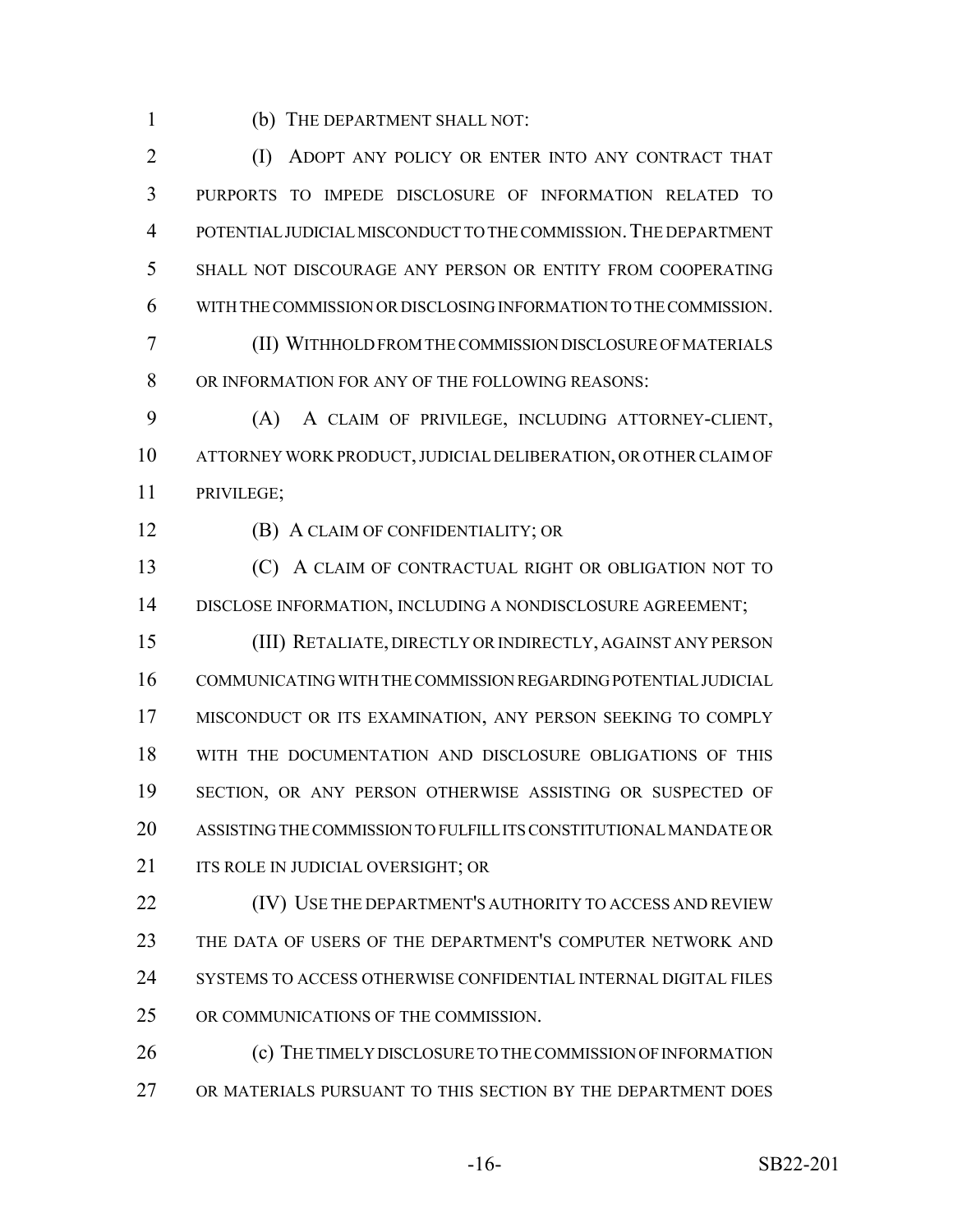(b) THE DEPARTMENT SHALL NOT:

**(I) ADOPT ANY POLICY OR ENTER INTO ANY CONTRACT THAT**  PURPORTS TO IMPEDE DISCLOSURE OF INFORMATION RELATED TO POTENTIAL JUDICIAL MISCONDUCT TO THE COMMISSION.THE DEPARTMENT SHALL NOT DISCOURAGE ANY PERSON OR ENTITY FROM COOPERATING WITH THE COMMISSION OR DISCLOSING INFORMATION TO THE COMMISSION.

 (II) WITHHOLD FROM THE COMMISSION DISCLOSURE OF MATERIALS OR INFORMATION FOR ANY OF THE FOLLOWING REASONS:

 (A) A CLAIM OF PRIVILEGE, INCLUDING ATTORNEY-CLIENT, ATTORNEY WORK PRODUCT, JUDICIAL DELIBERATION, OR OTHER CLAIM OF PRIVILEGE;

(B) A CLAIM OF CONFIDENTIALITY; OR

 (C) A CLAIM OF CONTRACTUAL RIGHT OR OBLIGATION NOT TO 14 DISCLOSE INFORMATION, INCLUDING A NONDISCLOSURE AGREEMENT;

 (III) RETALIATE, DIRECTLY OR INDIRECTLY, AGAINST ANY PERSON COMMUNICATING WITH THE COMMISSION REGARDING POTENTIAL JUDICIAL MISCONDUCT OR ITS EXAMINATION, ANY PERSON SEEKING TO COMPLY WITH THE DOCUMENTATION AND DISCLOSURE OBLIGATIONS OF THIS SECTION, OR ANY PERSON OTHERWISE ASSISTING OR SUSPECTED OF ASSISTING THE COMMISSION TO FULFILL ITS CONSTITUTIONAL MANDATE OR 21 ITS ROLE IN JUDICIAL OVERSIGHT; OR

**(IV)** USE THE DEPARTMENT'S AUTHORITY TO ACCESS AND REVIEW THE DATA OF USERS OF THE DEPARTMENT'S COMPUTER NETWORK AND SYSTEMS TO ACCESS OTHERWISE CONFIDENTIAL INTERNAL DIGITAL FILES OR COMMUNICATIONS OF THE COMMISSION.

 (c) THE TIMELY DISCLOSURE TO THE COMMISSION OF INFORMATION OR MATERIALS PURSUANT TO THIS SECTION BY THE DEPARTMENT DOES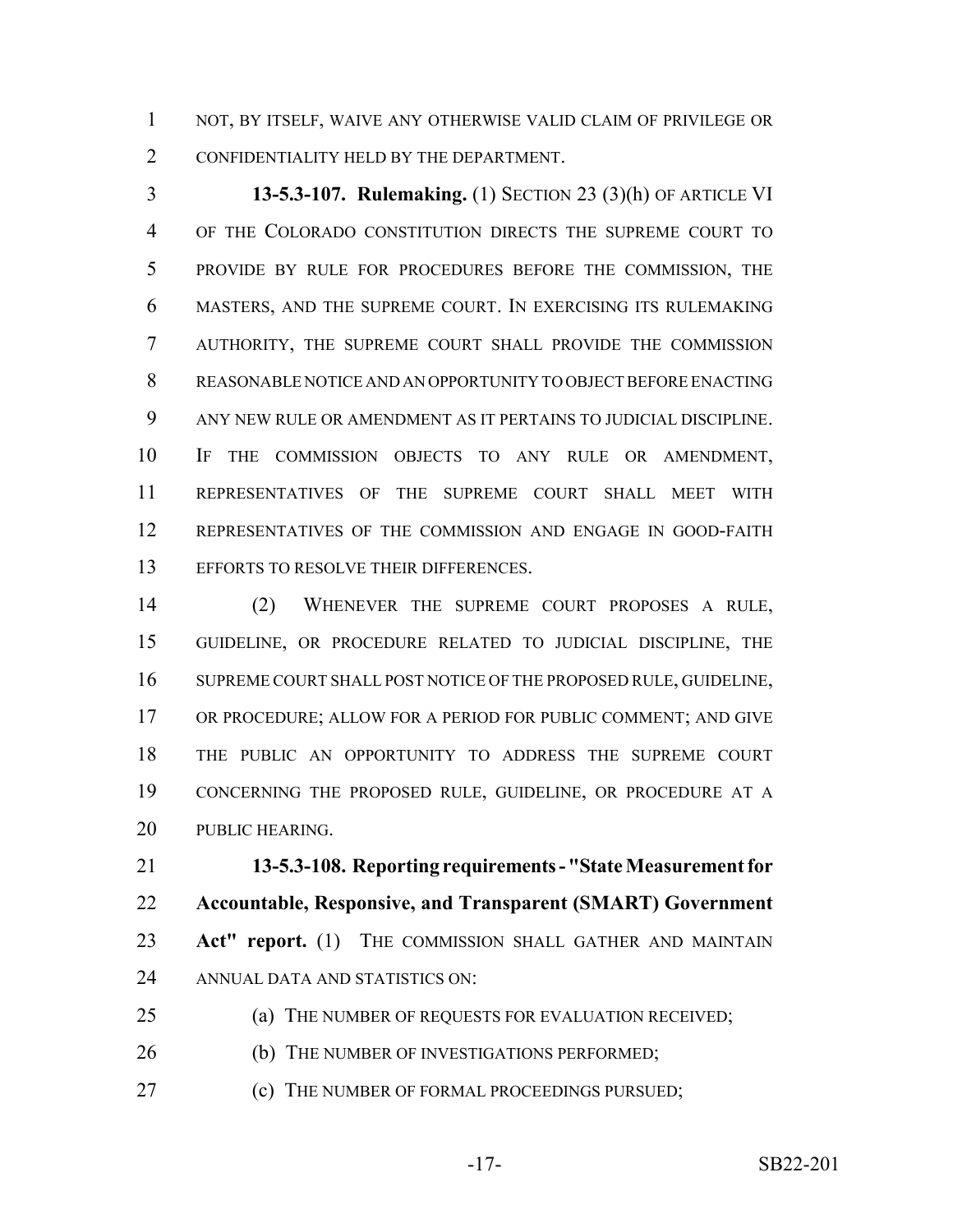NOT, BY ITSELF, WAIVE ANY OTHERWISE VALID CLAIM OF PRIVILEGE OR CONFIDENTIALITY HELD BY THE DEPARTMENT.

 **13-5.3-107. Rulemaking.** (1) SECTION 23 (3)(h) OF ARTICLE VI OF THE COLORADO CONSTITUTION DIRECTS THE SUPREME COURT TO PROVIDE BY RULE FOR PROCEDURES BEFORE THE COMMISSION, THE MASTERS, AND THE SUPREME COURT. IN EXERCISING ITS RULEMAKING AUTHORITY, THE SUPREME COURT SHALL PROVIDE THE COMMISSION REASONABLE NOTICE AND AN OPPORTUNITY TO OBJECT BEFORE ENACTING ANY NEW RULE OR AMENDMENT AS IT PERTAINS TO JUDICIAL DISCIPLINE. IF THE COMMISSION OBJECTS TO ANY RULE OR AMENDMENT, REPRESENTATIVES OF THE SUPREME COURT SHALL MEET WITH REPRESENTATIVES OF THE COMMISSION AND ENGAGE IN GOOD-FAITH 13 EFFORTS TO RESOLVE THEIR DIFFERENCES.

 (2) WHENEVER THE SUPREME COURT PROPOSES A RULE, GUIDELINE, OR PROCEDURE RELATED TO JUDICIAL DISCIPLINE, THE 16 SUPREME COURT SHALL POST NOTICE OF THE PROPOSED RULE, GUIDELINE, OR PROCEDURE; ALLOW FOR A PERIOD FOR PUBLIC COMMENT; AND GIVE THE PUBLIC AN OPPORTUNITY TO ADDRESS THE SUPREME COURT CONCERNING THE PROPOSED RULE, GUIDELINE, OR PROCEDURE AT A 20 PUBLIC HEARING.

 **13-5.3-108. Reporting requirements - "State Measurement for Accountable, Responsive, and Transparent (SMART) Government** 23 Act" report. (1) THE COMMISSION SHALL GATHER AND MAINTAIN ANNUAL DATA AND STATISTICS ON:

- 25 (a) THE NUMBER OF REQUESTS FOR EVALUATION RECEIVED;
- 26 (b) THE NUMBER OF INVESTIGATIONS PERFORMED;
- **(c)** THE NUMBER OF FORMAL PROCEEDINGS PURSUED;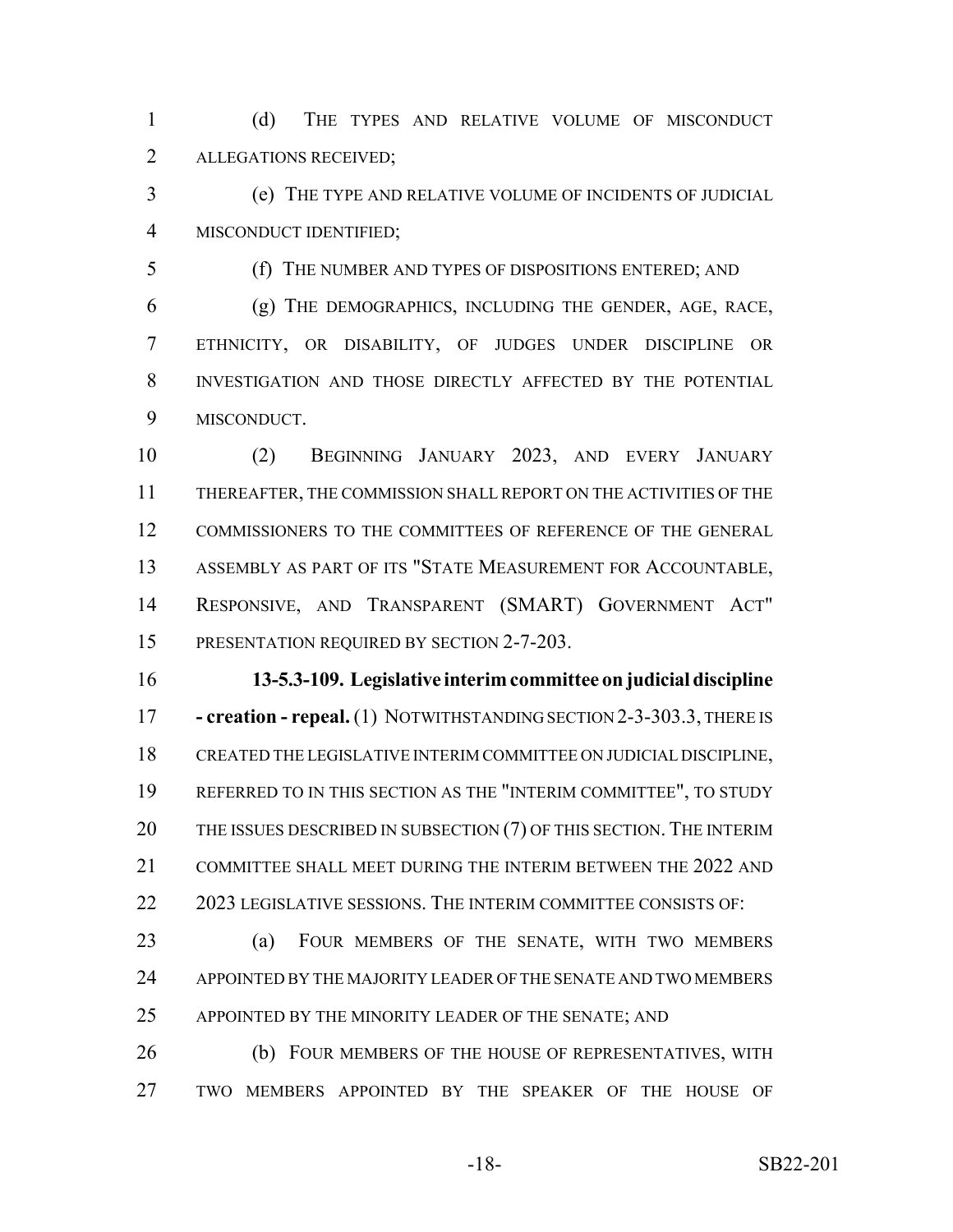(d) THE TYPES AND RELATIVE VOLUME OF MISCONDUCT ALLEGATIONS RECEIVED;

 (e) THE TYPE AND RELATIVE VOLUME OF INCIDENTS OF JUDICIAL MISCONDUCT IDENTIFIED;

(f) THE NUMBER AND TYPES OF DISPOSITIONS ENTERED; AND

 (g) THE DEMOGRAPHICS, INCLUDING THE GENDER, AGE, RACE, ETHNICITY, OR DISABILITY, OF JUDGES UNDER DISCIPLINE OR INVESTIGATION AND THOSE DIRECTLY AFFECTED BY THE POTENTIAL MISCONDUCT.

 (2) BEGINNING JANUARY 2023, AND EVERY JANUARY THEREAFTER, THE COMMISSION SHALL REPORT ON THE ACTIVITIES OF THE COMMISSIONERS TO THE COMMITTEES OF REFERENCE OF THE GENERAL ASSEMBLY AS PART OF ITS "STATE MEASUREMENT FOR ACCOUNTABLE, RESPONSIVE, AND TRANSPARENT (SMART) GOVERNMENT ACT" 15 PRESENTATION REQUIRED BY SECTION 2-7-203.

 **13-5.3-109. Legislative interim committee on judicial discipline - creation - repeal.** (1) NOTWITHSTANDING SECTION 2-3-303.3, THERE IS CREATED THE LEGISLATIVE INTERIM COMMITTEE ON JUDICIAL DISCIPLINE, REFERRED TO IN THIS SECTION AS THE "INTERIM COMMITTEE", TO STUDY 20 THE ISSUES DESCRIBED IN SUBSECTION (7) OF THIS SECTION. THE INTERIM 21 COMMITTEE SHALL MEET DURING THE INTERIM BETWEEN THE 2022 AND 22 2023 LEGISLATIVE SESSIONS. THE INTERIM COMMITTEE CONSISTS OF:

 (a) FOUR MEMBERS OF THE SENATE, WITH TWO MEMBERS APPOINTED BY THE MAJORITY LEADER OF THE SENATE AND TWO MEMBERS APPOINTED BY THE MINORITY LEADER OF THE SENATE; AND

 (b) FOUR MEMBERS OF THE HOUSE OF REPRESENTATIVES, WITH TWO MEMBERS APPOINTED BY THE SPEAKER OF THE HOUSE OF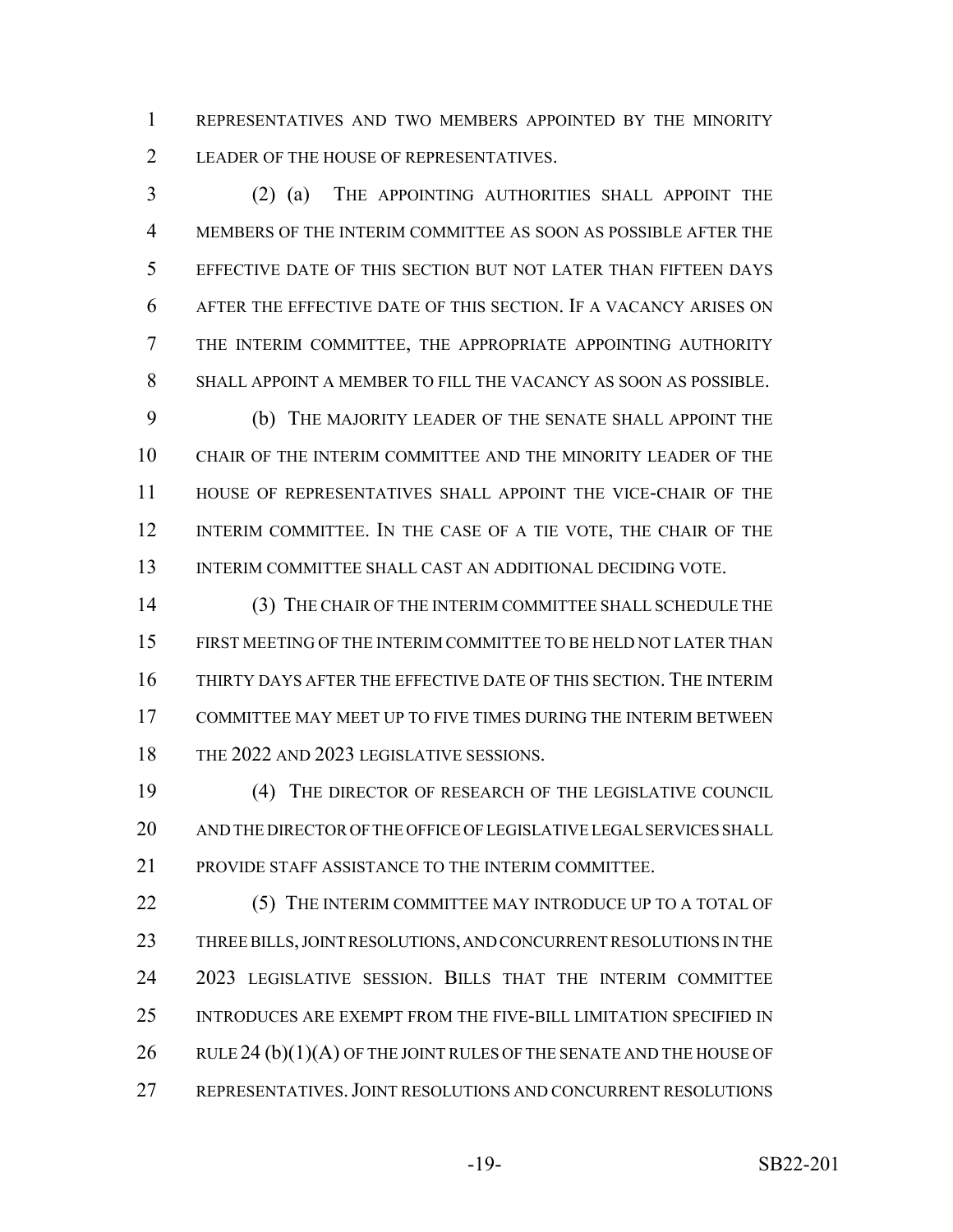REPRESENTATIVES AND TWO MEMBERS APPOINTED BY THE MINORITY 2 LEADER OF THE HOUSE OF REPRESENTATIVES.

 (2) (a) THE APPOINTING AUTHORITIES SHALL APPOINT THE MEMBERS OF THE INTERIM COMMITTEE AS SOON AS POSSIBLE AFTER THE EFFECTIVE DATE OF THIS SECTION BUT NOT LATER THAN FIFTEEN DAYS AFTER THE EFFECTIVE DATE OF THIS SECTION. IF A VACANCY ARISES ON THE INTERIM COMMITTEE, THE APPROPRIATE APPOINTING AUTHORITY SHALL APPOINT A MEMBER TO FILL THE VACANCY AS SOON AS POSSIBLE.

 (b) THE MAJORITY LEADER OF THE SENATE SHALL APPOINT THE CHAIR OF THE INTERIM COMMITTEE AND THE MINORITY LEADER OF THE HOUSE OF REPRESENTATIVES SHALL APPOINT THE VICE-CHAIR OF THE INTERIM COMMITTEE. IN THE CASE OF A TIE VOTE, THE CHAIR OF THE INTERIM COMMITTEE SHALL CAST AN ADDITIONAL DECIDING VOTE.

 (3) THE CHAIR OF THE INTERIM COMMITTEE SHALL SCHEDULE THE FIRST MEETING OF THE INTERIM COMMITTEE TO BE HELD NOT LATER THAN THIRTY DAYS AFTER THE EFFECTIVE DATE OF THIS SECTION. THE INTERIM COMMITTEE MAY MEET UP TO FIVE TIMES DURING THE INTERIM BETWEEN 18 THE 2022 AND 2023 LEGISLATIVE SESSIONS.

 (4) THE DIRECTOR OF RESEARCH OF THE LEGISLATIVE COUNCIL AND THE DIRECTOR OF THE OFFICE OF LEGISLATIVE LEGAL SERVICES SHALL PROVIDE STAFF ASSISTANCE TO THE INTERIM COMMITTEE.

22 (5) THE INTERIM COMMITTEE MAY INTRODUCE UP TO A TOTAL OF 23 THREE BILLS, JOINT RESOLUTIONS, AND CONCURRENT RESOLUTIONS IN THE 2023 LEGISLATIVE SESSION. BILLS THAT THE INTERIM COMMITTEE INTRODUCES ARE EXEMPT FROM THE FIVE-BILL LIMITATION SPECIFIED IN 26 RULE 24 (b)(1)(A) OF THE JOINT RULES OF THE SENATE AND THE HOUSE OF REPRESENTATIVES.JOINT RESOLUTIONS AND CONCURRENT RESOLUTIONS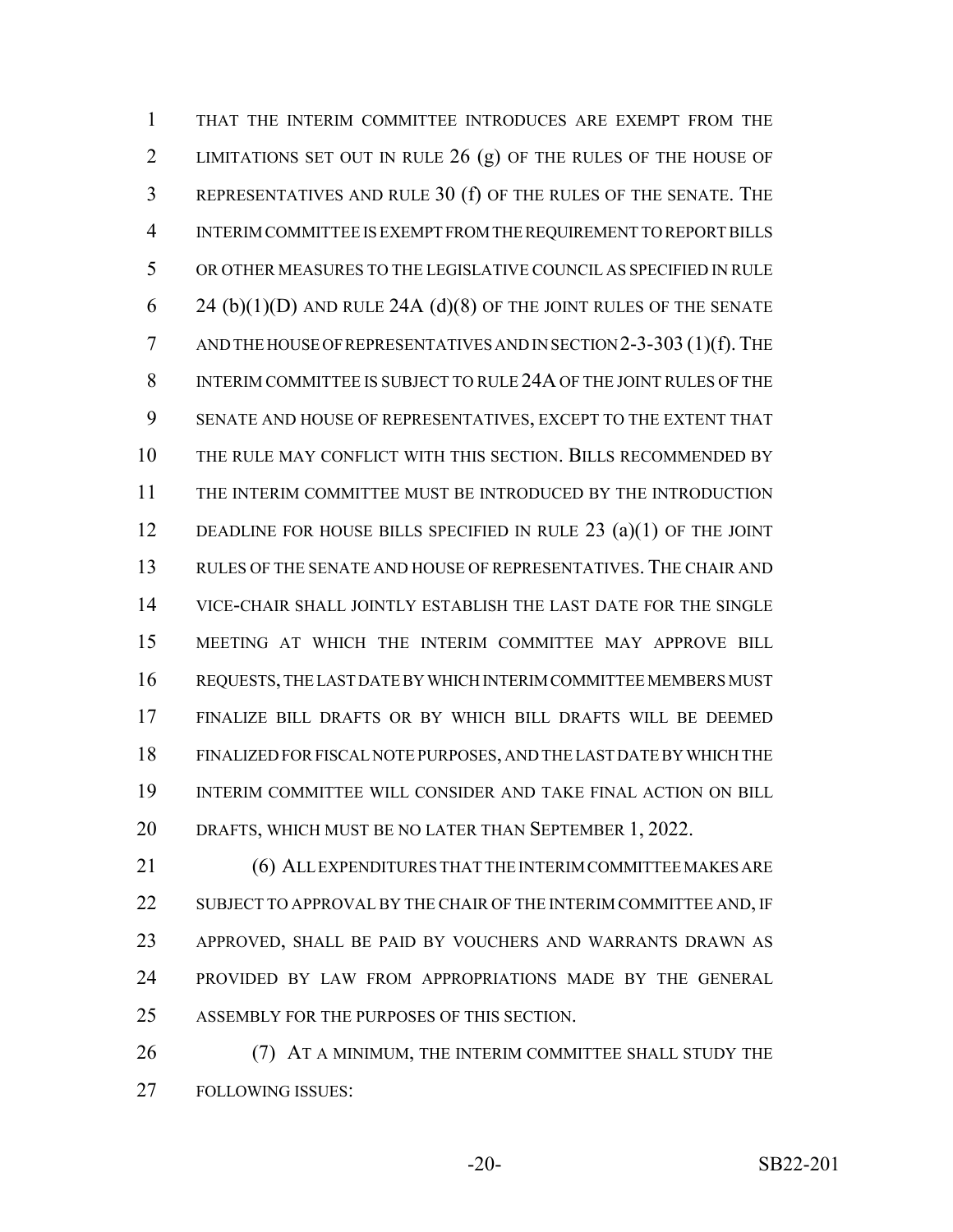THAT THE INTERIM COMMITTEE INTRODUCES ARE EXEMPT FROM THE 2 LIMITATIONS SET OUT IN RULE (g) OF THE RULES OF THE HOUSE OF REPRESENTATIVES AND RULE 30 (f) OF THE RULES OF THE SENATE. THE INTERIM COMMITTEE IS EXEMPT FROM THE REQUIREMENT TO REPORT BILLS OR OTHER MEASURES TO THE LEGISLATIVE COUNCIL AS SPECIFIED IN RULE 24 (b)(1)(D) AND RULE 24A (d)(8) OF THE JOINT RULES OF THE SENATE AND THE HOUSE OF REPRESENTATIVES AND IN SECTION 2-3-303 (1)(f). THE INTERIM COMMITTEE IS SUBJECT TO RULE 24A OF THE JOINT RULES OF THE SENATE AND HOUSE OF REPRESENTATIVES, EXCEPT TO THE EXTENT THAT THE RULE MAY CONFLICT WITH THIS SECTION. BILLS RECOMMENDED BY THE INTERIM COMMITTEE MUST BE INTRODUCED BY THE INTRODUCTION 12 DEADLINE FOR HOUSE BILLS SPECIFIED IN RULE 23 (a)(1) OF THE JOINT RULES OF THE SENATE AND HOUSE OF REPRESENTATIVES. THE CHAIR AND VICE-CHAIR SHALL JOINTLY ESTABLISH THE LAST DATE FOR THE SINGLE MEETING AT WHICH THE INTERIM COMMITTEE MAY APPROVE BILL REQUESTS, THE LAST DATE BY WHICH INTERIM COMMITTEE MEMBERS MUST FINALIZE BILL DRAFTS OR BY WHICH BILL DRAFTS WILL BE DEEMED FINALIZED FOR FISCAL NOTE PURPOSES, AND THE LAST DATE BY WHICH THE INTERIM COMMITTEE WILL CONSIDER AND TAKE FINAL ACTION ON BILL DRAFTS, WHICH MUST BE NO LATER THAN SEPTEMBER 1, 2022.

 (6) ALL EXPENDITURES THAT THE INTERIM COMMITTEE MAKES ARE 22 SUBJECT TO APPROVAL BY THE CHAIR OF THE INTERIM COMMITTEE AND, IF APPROVED, SHALL BE PAID BY VOUCHERS AND WARRANTS DRAWN AS PROVIDED BY LAW FROM APPROPRIATIONS MADE BY THE GENERAL ASSEMBLY FOR THE PURPOSES OF THIS SECTION.

**(7) AT A MINIMUM, THE INTERIM COMMITTEE SHALL STUDY THE** FOLLOWING ISSUES: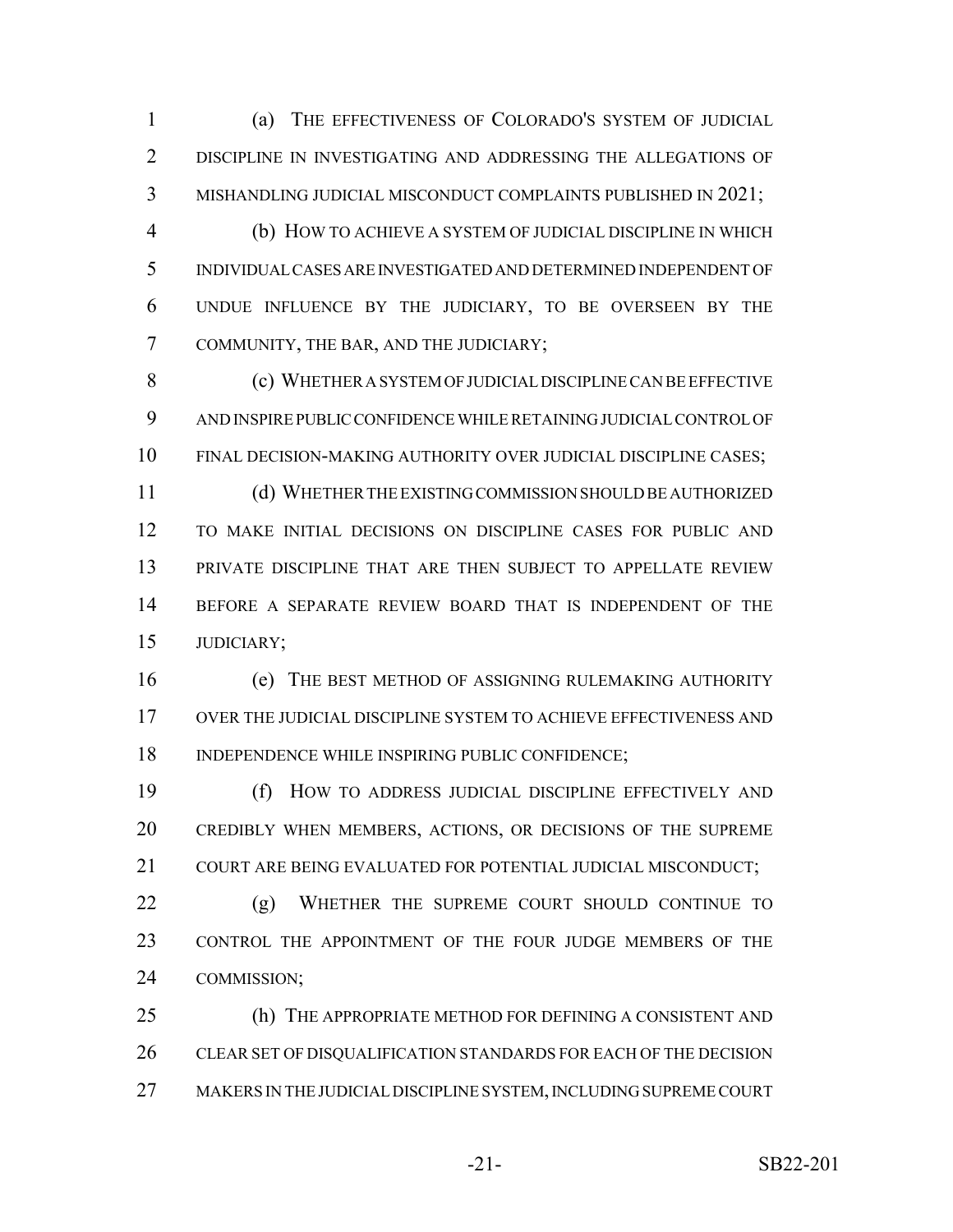(a) THE EFFECTIVENESS OF COLORADO'S SYSTEM OF JUDICIAL DISCIPLINE IN INVESTIGATING AND ADDRESSING THE ALLEGATIONS OF MISHANDLING JUDICIAL MISCONDUCT COMPLAINTS PUBLISHED IN 2021;

 (b) HOW TO ACHIEVE A SYSTEM OF JUDICIAL DISCIPLINE IN WHICH INDIVIDUAL CASES ARE INVESTIGATED AND DETERMINED INDEPENDENT OF UNDUE INFLUENCE BY THE JUDICIARY, TO BE OVERSEEN BY THE COMMUNITY, THE BAR, AND THE JUDICIARY;

 (c) WHETHER A SYSTEM OF JUDICIAL DISCIPLINE CAN BE EFFECTIVE AND INSPIRE PUBLIC CONFIDENCE WHILE RETAINING JUDICIAL CONTROL OF FINAL DECISION-MAKING AUTHORITY OVER JUDICIAL DISCIPLINE CASES;

 (d) WHETHER THE EXISTING COMMISSION SHOULD BE AUTHORIZED TO MAKE INITIAL DECISIONS ON DISCIPLINE CASES FOR PUBLIC AND PRIVATE DISCIPLINE THAT ARE THEN SUBJECT TO APPELLATE REVIEW BEFORE A SEPARATE REVIEW BOARD THAT IS INDEPENDENT OF THE JUDICIARY;

 (e) THE BEST METHOD OF ASSIGNING RULEMAKING AUTHORITY OVER THE JUDICIAL DISCIPLINE SYSTEM TO ACHIEVE EFFECTIVENESS AND INDEPENDENCE WHILE INSPIRING PUBLIC CONFIDENCE;

 (f) HOW TO ADDRESS JUDICIAL DISCIPLINE EFFECTIVELY AND CREDIBLY WHEN MEMBERS, ACTIONS, OR DECISIONS OF THE SUPREME 21 COURT ARE BEING EVALUATED FOR POTENTIAL JUDICIAL MISCONDUCT:

 (g) WHETHER THE SUPREME COURT SHOULD CONTINUE TO CONTROL THE APPOINTMENT OF THE FOUR JUDGE MEMBERS OF THE COMMISSION;

 (h) THE APPROPRIATE METHOD FOR DEFINING A CONSISTENT AND 26 CLEAR SET OF DISQUALIFICATION STANDARDS FOR EACH OF THE DECISION MAKERS IN THE JUDICIAL DISCIPLINE SYSTEM, INCLUDING SUPREME COURT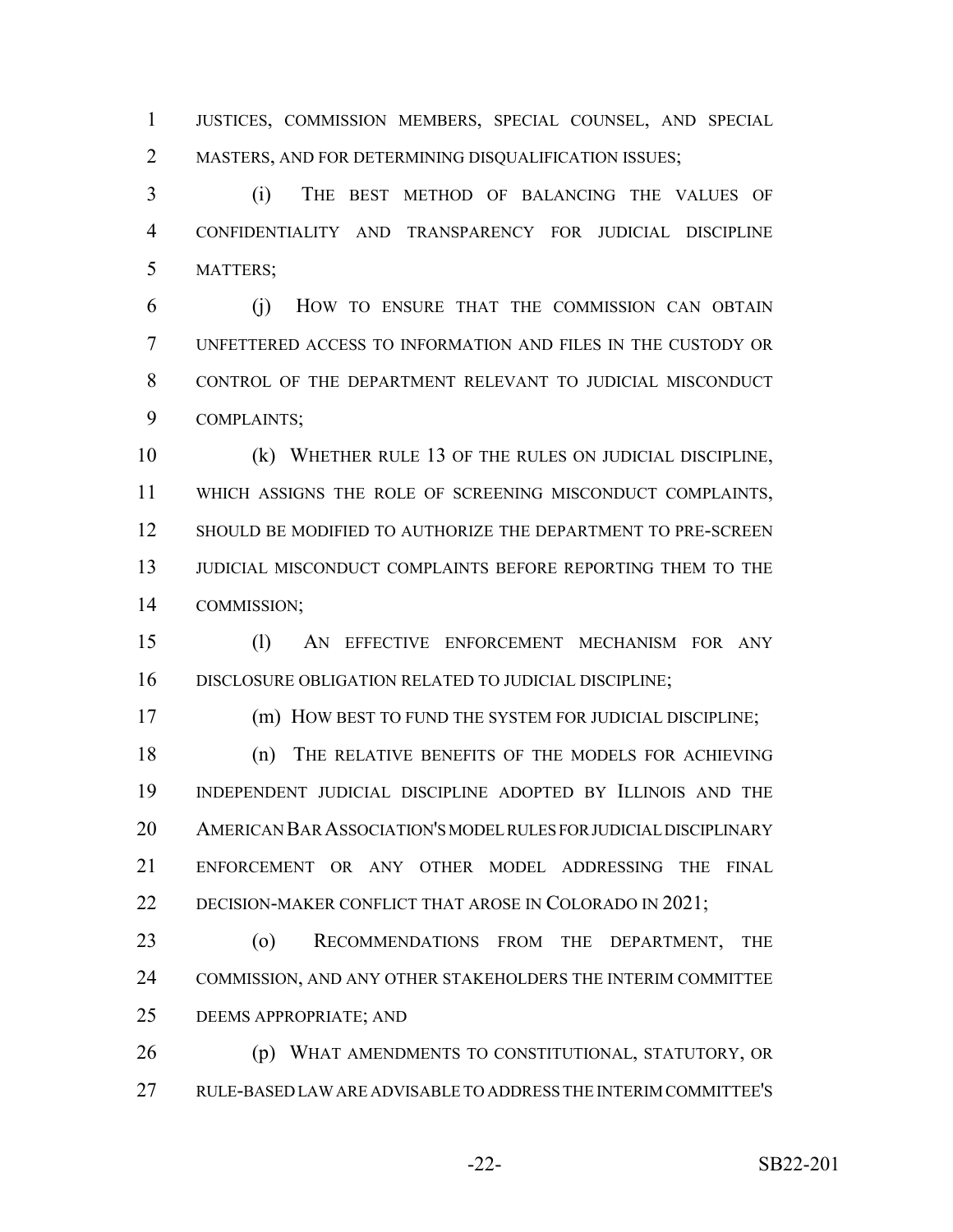JUSTICES, COMMISSION MEMBERS, SPECIAL COUNSEL, AND SPECIAL 2 MASTERS, AND FOR DETERMINING DISQUALIFICATION ISSUES;

 (i) THE BEST METHOD OF BALANCING THE VALUES OF CONFIDENTIALITY AND TRANSPARENCY FOR JUDICIAL DISCIPLINE MATTERS;

 (j) HOW TO ENSURE THAT THE COMMISSION CAN OBTAIN UNFETTERED ACCESS TO INFORMATION AND FILES IN THE CUSTODY OR CONTROL OF THE DEPARTMENT RELEVANT TO JUDICIAL MISCONDUCT COMPLAINTS;

 (k) WHETHER RULE 13 OF THE RULES ON JUDICIAL DISCIPLINE, WHICH ASSIGNS THE ROLE OF SCREENING MISCONDUCT COMPLAINTS, SHOULD BE MODIFIED TO AUTHORIZE THE DEPARTMENT TO PRE-SCREEN JUDICIAL MISCONDUCT COMPLAINTS BEFORE REPORTING THEM TO THE COMMISSION;

 (l) AN EFFECTIVE ENFORCEMENT MECHANISM FOR ANY DISCLOSURE OBLIGATION RELATED TO JUDICIAL DISCIPLINE;

(m) HOW BEST TO FUND THE SYSTEM FOR JUDICIAL DISCIPLINE;

 (n) THE RELATIVE BENEFITS OF THE MODELS FOR ACHIEVING INDEPENDENT JUDICIAL DISCIPLINE ADOPTED BY ILLINOIS AND THE AMERICAN BAR ASSOCIATION'S MODEL RULES FOR JUDICIAL DISCIPLINARY ENFORCEMENT OR ANY OTHER MODEL ADDRESSING THE FINAL 22 DECISION-MAKER CONFLICT THAT AROSE IN COLORADO IN 2021;

 (o) RECOMMENDATIONS FROM THE DEPARTMENT, THE COMMISSION, AND ANY OTHER STAKEHOLDERS THE INTERIM COMMITTEE DEEMS APPROPRIATE; AND

 (p) WHAT AMENDMENTS TO CONSTITUTIONAL, STATUTORY, OR RULE-BASED LAW ARE ADVISABLE TO ADDRESS THE INTERIM COMMITTEE'S

-22- SB22-201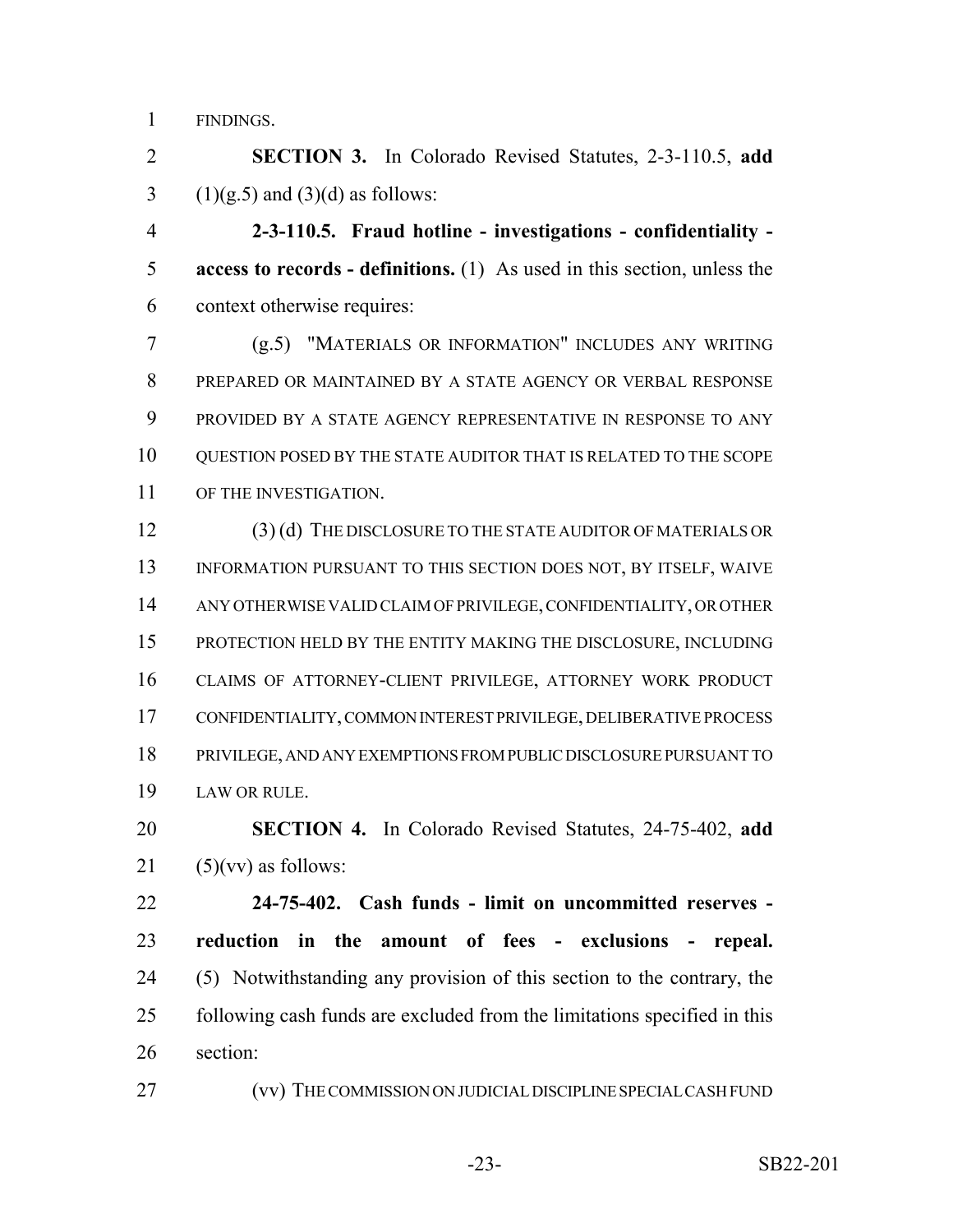FINDINGS.

 **SECTION 3.** In Colorado Revised Statutes, 2-3-110.5, **add** 3 (1)(g.5) and (3)(d) as follows:

 **2-3-110.5. Fraud hotline - investigations - confidentiality - access to records - definitions.** (1) As used in this section, unless the context otherwise requires:

 (g.5) "MATERIALS OR INFORMATION" INCLUDES ANY WRITING PREPARED OR MAINTAINED BY A STATE AGENCY OR VERBAL RESPONSE PROVIDED BY A STATE AGENCY REPRESENTATIVE IN RESPONSE TO ANY QUESTION POSED BY THE STATE AUDITOR THAT IS RELATED TO THE SCOPE 11 OF THE INVESTIGATION.

 (3) (d) THE DISCLOSURE TO THE STATE AUDITOR OF MATERIALS OR INFORMATION PURSUANT TO THIS SECTION DOES NOT, BY ITSELF, WAIVE ANY OTHERWISE VALID CLAIM OF PRIVILEGE, CONFIDENTIALITY, OR OTHER PROTECTION HELD BY THE ENTITY MAKING THE DISCLOSURE, INCLUDING CLAIMS OF ATTORNEY-CLIENT PRIVILEGE, ATTORNEY WORK PRODUCT CONFIDENTIALITY, COMMON INTEREST PRIVILEGE, DELIBERATIVE PROCESS PRIVILEGE, AND ANY EXEMPTIONS FROM PUBLIC DISCLOSURE PURSUANT TO LAW OR RULE.

 **SECTION 4.** In Colorado Revised Statutes, 24-75-402, **add** (5)(vv) as follows:

 **24-75-402. Cash funds - limit on uncommitted reserves - reduction in the amount of fees - exclusions - repeal.** (5) Notwithstanding any provision of this section to the contrary, the following cash funds are excluded from the limitations specified in this section:

(vv) THE COMMISSION ON JUDICIAL DISCIPLINE SPECIAL CASH FUND